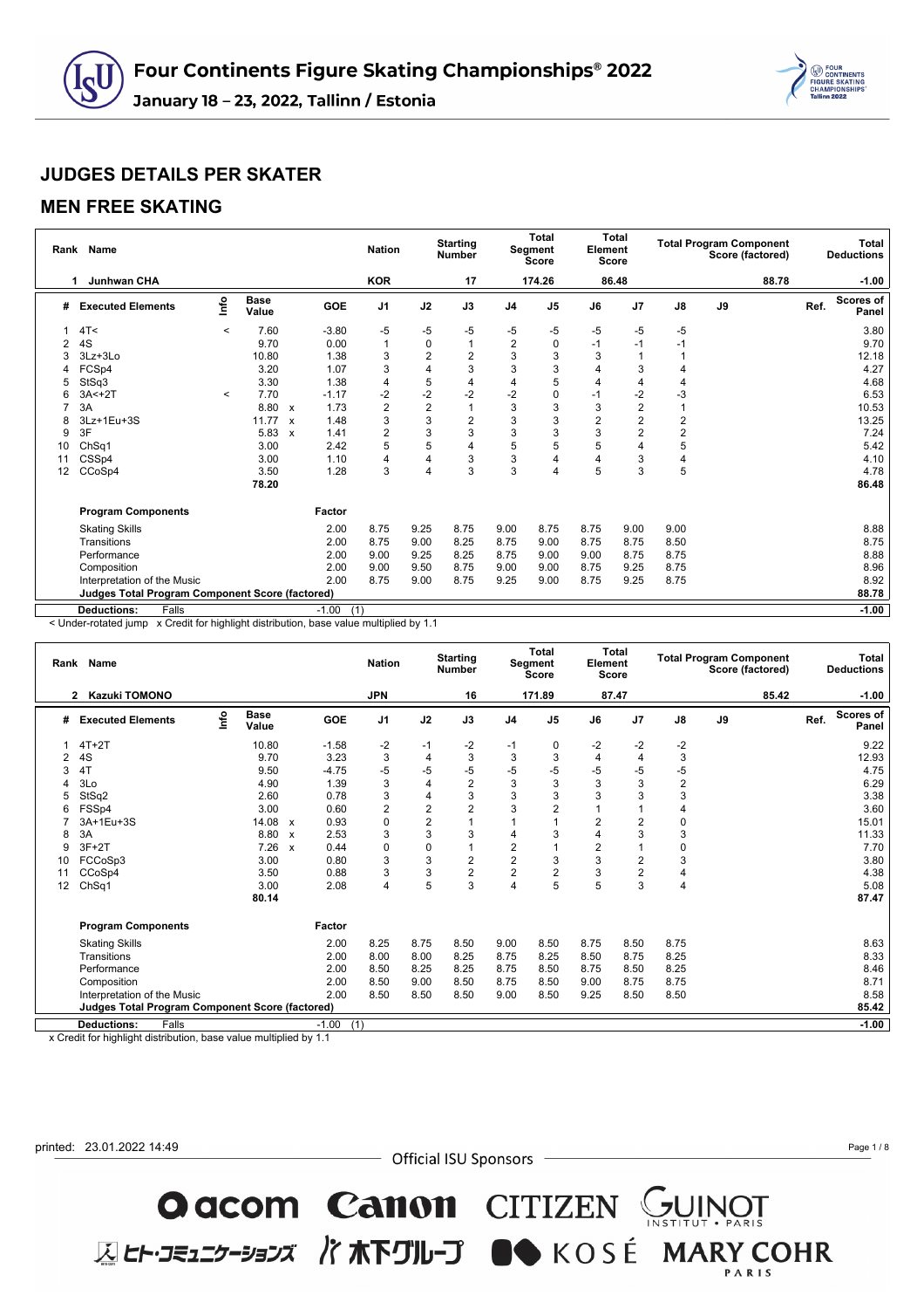

#### **MEN FREE SKATING**

|    | Rank Name                                              |         |                      |              |                | <b>Nation</b>  |                | <b>Starting</b><br><b>Number</b> |                | Total<br>Segment<br><b>Score</b> | Element<br><b>Score</b> | Total          |                | <b>Total Program Component</b><br>Score (factored) |      | Total<br><b>Deductions</b> |
|----|--------------------------------------------------------|---------|----------------------|--------------|----------------|----------------|----------------|----------------------------------|----------------|----------------------------------|-------------------------|----------------|----------------|----------------------------------------------------|------|----------------------------|
|    | <b>Junhwan CHA</b>                                     |         |                      |              |                | <b>KOR</b>     |                | 17                               |                | 174.26                           |                         | 86.48          |                | 88.78                                              |      | $-1.00$                    |
| #  | <b>Executed Elements</b>                               | lnfo    | <b>Base</b><br>Value |              | GOE            | J <sub>1</sub> | J2             | J3                               | J <sub>4</sub> | J <sub>5</sub>                   | J6                      | J <sub>7</sub> | $\mathsf{J}8$  | J9                                                 | Ref. | <b>Scores of</b><br>Panel  |
|    | 4T<                                                    | $\prec$ | 7.60                 |              | $-3.80$        | $-5$           | -5             | -5                               | -5             | -5                               | $-5$                    | $-5$           | $-5$           |                                                    |      | 3.80                       |
|    | 4S                                                     |         | 9.70                 |              | 0.00           | $\mathbf{1}$   | $\mathbf 0$    | 1                                | $\overline{2}$ | 0                                | $-1$                    | $-1$           | $-1$           |                                                    |      | 9.70                       |
|    | 3Lz+3Lo                                                |         | 10.80                |              | 1.38           | 3              | $\overline{2}$ | $\overline{2}$                   | 3              | 3                                | 3                       |                |                |                                                    |      | 12.18                      |
|    | FCSp4                                                  |         | 3.20                 |              | 1.07           | 3              | 4              | 3                                | 3              | 3                                | 4                       | 3              | 4              |                                                    |      | 4.27                       |
| 5  | StSq3                                                  |         | 3.30                 |              | 1.38           | 4              | 5              | 4                                | 4              | 5                                | 4                       | 4              | 4              |                                                    |      | 4.68                       |
|    | $3A < +2T$                                             | $\prec$ | 7.70                 |              | $-1.17$        | $-2$           | $-2$           | $-2$                             | $-2$           | 0                                | $-1$                    | $-2$           | -3             |                                                    |      | 6.53                       |
|    | 3A                                                     |         | 8.80                 | $\mathsf{x}$ | 1.73           | $\overline{2}$ | $\overline{2}$ | 1                                | 3              | 3                                | 3                       | $\overline{2}$ |                |                                                    |      | 10.53                      |
| 8  | 3Lz+1Eu+3S                                             |         | 11.77                | $\mathbf{x}$ | 1.48           | 3              | 3              | $\overline{2}$                   | 3              | 3                                | $\overline{2}$          | $\overline{2}$ | $\overline{2}$ |                                                    |      | 13.25                      |
| 9  | 3F                                                     |         | 5.83                 | $\mathbf{x}$ | 1.41           | $\overline{2}$ | 3              | 3                                | 3              | 3                                | 3                       | $\overline{2}$ | $\overline{2}$ |                                                    |      | 7.24                       |
| 10 | ChSq1                                                  |         | 3.00                 |              | 2.42           | 5              | 5              | 4                                | 5              | 5                                | 5                       | 4              | 5              |                                                    |      | 5.42                       |
| 11 | CSSp4                                                  |         | 3.00                 |              | 1.10           | $\overline{4}$ | 4              | 3                                | 3              | 4                                | $\overline{4}$          | 3              | 4              |                                                    |      | 4.10                       |
| 12 | CCoSp4                                                 |         | 3.50                 |              | 1.28           | 3              | 4              | 3                                | 3              | 4                                | 5                       | 3              | 5              |                                                    |      | 4.78                       |
|    |                                                        |         | 78.20                |              |                |                |                |                                  |                |                                  |                         |                |                |                                                    |      | 86.48                      |
|    | <b>Program Components</b>                              |         |                      |              | Factor         |                |                |                                  |                |                                  |                         |                |                |                                                    |      |                            |
|    | <b>Skating Skills</b>                                  |         |                      |              | 2.00           | 8.75           | 9.25           | 8.75                             | 9.00           | 8.75                             | 8.75                    | 9.00           | 9.00           |                                                    |      | 8.88                       |
|    | Transitions                                            |         |                      |              | 2.00           | 8.75           | 9.00           | 8.25                             | 8.75           | 9.00                             | 8.75                    | 8.75           | 8.50           |                                                    |      | 8.75                       |
|    | Performance                                            |         |                      |              | 2.00           | 9.00           | 9.25           | 8.25                             | 8.75           | 9.00                             | 9.00                    | 8.75           | 8.75           |                                                    |      | 8.88                       |
|    | Composition                                            |         |                      |              | 2.00           | 9.00           | 9.50           | 8.75                             | 9.00           | 9.00                             | 8.75                    | 9.25           | 8.75           |                                                    |      | 8.96                       |
|    | Interpretation of the Music                            |         |                      |              | 2.00           | 8.75           | 9.00           | 8.75                             | 9.25           | 9.00                             | 8.75                    | 9.25           | 8.75           |                                                    |      | 8.92                       |
|    | <b>Judges Total Program Component Score (factored)</b> |         |                      |              |                |                |                |                                  |                |                                  |                         |                |                |                                                    |      | 88.78                      |
|    | Falls<br><b>Deductions:</b>                            |         |                      |              | (1)<br>$-1.00$ |                |                |                                  |                |                                  |                         |                |                |                                                    |      | $-1.00$                    |

< Under-rotated jump x Credit for highlight distribution, base value multiplied by 1.1

|    | Rank Name                                       |      |                      |                           |                | <b>Nation</b>  |                | <b>Starting</b><br><b>Number</b> |                | Total<br><b>Segment</b><br>Score | Element        | Total<br>Score |                | <b>Total Program Component</b><br>Score (factored) |      | Total<br><b>Deductions</b> |
|----|-------------------------------------------------|------|----------------------|---------------------------|----------------|----------------|----------------|----------------------------------|----------------|----------------------------------|----------------|----------------|----------------|----------------------------------------------------|------|----------------------------|
|    | <b>Kazuki TOMONO</b><br>2                       |      |                      |                           |                | <b>JPN</b>     |                | 16                               |                | 171.89                           |                | 87.47          |                | 85.42                                              |      | $-1.00$                    |
| #  | <b>Executed Elements</b>                        | lnfo | <b>Base</b><br>Value |                           | <b>GOE</b>     | J <sub>1</sub> | J2             | J3                               | J <sub>4</sub> | J <sub>5</sub>                   | J6             | J <sub>7</sub> | J8             | J9                                                 | Ref. | <b>Scores of</b><br>Panel  |
|    | $4T+2T$                                         |      | 10.80                |                           | $-1.58$        | $-2$           | -1             | $-2$                             | $-1$           | 0                                | $-2$           | $-2$           | $-2$           |                                                    |      | 9.22                       |
| 2  | 4S                                              |      | 9.70                 |                           | 3.23           | 3              | 4              | 3                                | 3              | 3                                | 4              | 4              | 3              |                                                    |      | 12.93                      |
| 3  | 4T                                              |      | 9.50                 |                           | $-4.75$        | $-5$           | $-5$           | $-5$                             | $-5$           | $-5$                             | $-5$           | $-5$           | -5             |                                                    |      | 4.75                       |
| 4  | 3Lo                                             |      | 4.90                 |                           | 1.39           | 3              | 4              | $\overline{c}$                   | 3              | 3                                | 3              | 3              | $\overline{2}$ |                                                    |      | 6.29                       |
| 5  | StSq2                                           |      | 2.60                 |                           | 0.78           | 3              | 4              | 3                                | 3              | 3                                | 3              | 3              | 3              |                                                    |      | 3.38                       |
| 6  | FSSp4                                           |      | 3.00                 |                           | 0.60           | $\overline{2}$ | $\overline{2}$ | $\overline{2}$                   | 3              | $\overline{2}$                   |                |                | 4              |                                                    |      | 3.60                       |
|    | 3A+1Eu+3S                                       |      | 14.08                | $\boldsymbol{\mathsf{x}}$ | 0.93           | 0              | $\overline{2}$ | 1                                |                |                                  | $\overline{2}$ | $\overline{2}$ | $\mathbf 0$    |                                                    |      | 15.01                      |
| 8  | 3A                                              |      | 8.80                 | $\boldsymbol{\mathsf{x}}$ | 2.53           | 3              | 3              | 3                                | 4              | 3                                | $\overline{4}$ | 3              | 3              |                                                    |      | 11.33                      |
| 9  | $3F+2T$                                         |      | 7.26                 | $\mathsf{x}$              | 0.44           | $\mathbf 0$    | 0              | $\overline{1}$                   | $\overline{2}$ |                                  | $\overline{2}$ |                | 0              |                                                    |      | 7.70                       |
| 10 | FCCoSp3                                         |      | 3.00                 |                           | 0.80           | 3              | 3              | $\overline{2}$                   | $\overline{2}$ | 3                                | 3              | $\overline{2}$ | 3              |                                                    |      | 3.80                       |
| 11 | CCoSp4                                          |      | 3.50                 |                           | 0.88           | 3              | 3              | $\overline{c}$                   | $\overline{2}$ | 2                                | 3              | 2              | 4              |                                                    |      | 4.38                       |
| 12 | ChSq1                                           |      | 3.00                 |                           | 2.08           | 4              | 5              | 3                                | 4              | 5                                | 5              | 3              | 4              |                                                    |      | 5.08                       |
|    |                                                 |      | 80.14                |                           |                |                |                |                                  |                |                                  |                |                |                |                                                    |      | 87.47                      |
|    | <b>Program Components</b>                       |      |                      |                           | Factor         |                |                |                                  |                |                                  |                |                |                |                                                    |      |                            |
|    | <b>Skating Skills</b>                           |      |                      |                           | 2.00           | 8.25           | 8.75           | 8.50                             | 9.00           | 8.50                             | 8.75           | 8.50           | 8.75           |                                                    |      | 8.63                       |
|    | Transitions                                     |      |                      |                           | 2.00           | 8.00           | 8.00           | 8.25                             | 8.75           | 8.25                             | 8.50           | 8.75           | 8.25           |                                                    |      | 8.33                       |
|    | Performance                                     |      |                      |                           | 2.00           | 8.50           | 8.25           | 8.25                             | 8.75           | 8.50                             | 8.75           | 8.50           | 8.25           |                                                    |      | 8.46                       |
|    | Composition                                     |      |                      |                           | 2.00           | 8.50           | 9.00           | 8.50                             | 8.75           | 8.50                             | 9.00           | 8.75           | 8.75           |                                                    |      | 8.71                       |
|    | Interpretation of the Music                     |      |                      |                           | 2.00           | 8.50           | 8.50           | 8.50                             | 9.00           | 8.50                             | 9.25           | 8.50           | 8.50           |                                                    |      | 8.58                       |
|    | Judges Total Program Component Score (factored) |      |                      |                           |                |                |                |                                  |                |                                  |                |                |                |                                                    |      | 85.42                      |
|    | <b>Deductions:</b><br>Falls                     |      |                      |                           | $-1.00$<br>(1) |                |                |                                  |                |                                  |                |                |                |                                                    |      | $-1.00$                    |

x Credit for highlight distribution, base value multiplied by 1.1



- Official ISU Sponsors -

**O acom Canon** CITIZEN GUINOT<br>ELET-JE150-317 / TRETUL-J ON KOSÉ MARY COHR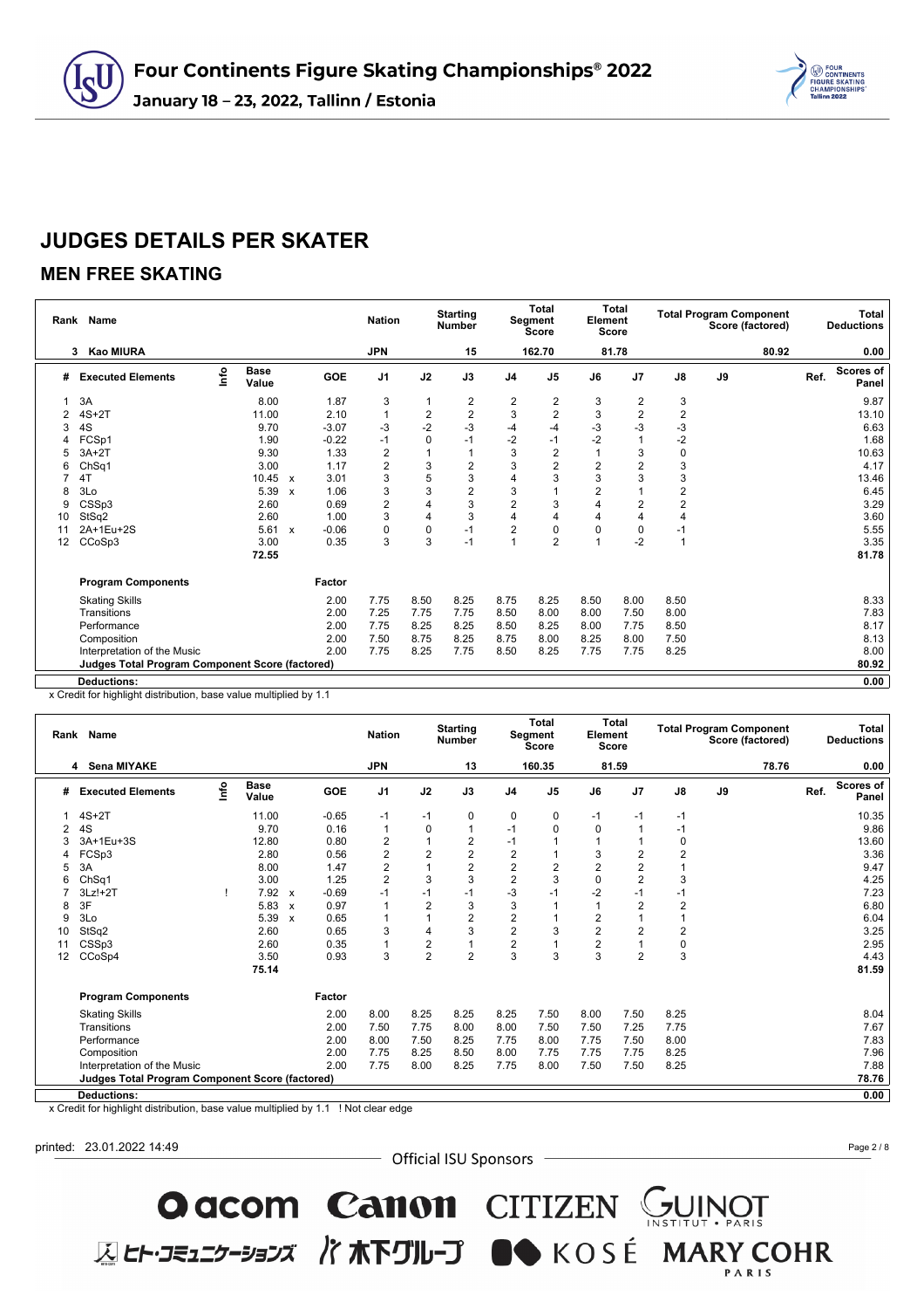

### **MEN FREE SKATING**

|    | Rank Name                                              |      |                      |              |         | <b>Nation</b>  |                | <b>Starting</b><br><b>Number</b> |                | Total<br>Segment<br><b>Score</b> | Element        | <b>Total</b><br><b>Score</b> |                  |    | <b>Total Program Component</b><br>Score (factored) |      | <b>Total</b><br><b>Deductions</b> |
|----|--------------------------------------------------------|------|----------------------|--------------|---------|----------------|----------------|----------------------------------|----------------|----------------------------------|----------------|------------------------------|------------------|----|----------------------------------------------------|------|-----------------------------------|
|    | Kao MIURA<br>3                                         |      |                      |              |         | <b>JPN</b>     |                | 15                               |                | 162.70                           |                | 81.78                        |                  |    | 80.92                                              |      | 0.00                              |
| #  | <b>Executed Elements</b>                               | lnfo | <b>Base</b><br>Value |              | GOE     | J <sub>1</sub> | J2             | J3                               | J <sub>4</sub> | J <sub>5</sub>                   | J6             | J <sub>7</sub>               | $\mathsf{J}8$    | J9 |                                                    | Ref. | <b>Scores of</b><br>Panel         |
|    | 3A                                                     |      | 8.00                 |              | 1.87    | 3              | 1              | 2                                | 2              | 2                                | 3              | 2                            | 3                |    |                                                    |      | 9.87                              |
| 2  | $4S+2T$                                                |      | 11.00                |              | 2.10    | 1              | $\overline{2}$ | $\overline{2}$                   | 3              | $\overline{2}$                   | 3              | 2                            | $\mathbf 2$      |    |                                                    |      | 13.10                             |
| 3  | 4S                                                     |      | 9.70                 |              | $-3.07$ | $-3$           | $-2$           | $-3$                             | -4             | -4                               | -3             | $-3$                         | -3               |    |                                                    |      | 6.63                              |
|    | FCSp1                                                  |      | 1.90                 |              | $-0.22$ | $-1$           | 0              | $-1$                             | $-2$           | $-1$                             | $-2$           |                              | $-2$             |    |                                                    |      | 1.68                              |
| 5  | $3A+2T$                                                |      | 9.30                 |              | 1.33    | $\overline{2}$ |                | $\mathbf{1}$                     | 3              | $\overline{2}$                   |                | 3                            | $\mathbf 0$      |    |                                                    |      | 10.63                             |
| 6  | ChSq1                                                  |      | 3.00                 |              | 1.17    | $\overline{2}$ | 3              | $\overline{2}$                   | 3              | $\overline{2}$                   | $\overline{2}$ | $\overline{2}$               | 3                |    |                                                    |      | 4.17                              |
|    | 4T                                                     |      | 10.45                | $\mathbf{x}$ | 3.01    | 3              | 5              | 3                                | 4              | 3                                | 3              | 3                            | $\mathsf 3$      |    |                                                    |      | 13.46                             |
| 8  | 3Lo                                                    |      | 5.39                 | $\mathbf{x}$ | 1.06    | 3              | 3              | $\overline{2}$                   | 3              |                                  | 2              |                              | $\boldsymbol{2}$ |    |                                                    |      | 6.45                              |
| 9  | CSSp3                                                  |      | 2.60                 |              | 0.69    | $\overline{2}$ | 4              | 3                                | $\overline{c}$ | 3                                |                | $\overline{2}$               | $\overline{2}$   |    |                                                    |      | 3.29                              |
| 10 | StSq2                                                  |      | 2.60                 |              | 1.00    | 3              | 4              | 3                                | 4              | 4                                | 4              | 4                            | $\overline{4}$   |    |                                                    |      | 3.60                              |
| 11 | 2A+1Eu+2S                                              |      | 5.61                 | $\mathbf{x}$ | $-0.06$ | $\mathbf 0$    | 0              | $-1$                             | $\overline{2}$ | 0                                | 0              | 0                            | $-1$             |    |                                                    |      | 5.55                              |
| 12 | CCoSp3                                                 |      | 3.00                 |              | 0.35    | 3              | 3              | $-1$                             |                | $\overline{2}$                   |                | $-2$                         | $\overline{1}$   |    |                                                    |      | 3.35                              |
|    |                                                        |      | 72.55                |              |         |                |                |                                  |                |                                  |                |                              |                  |    |                                                    |      | 81.78                             |
|    | <b>Program Components</b>                              |      |                      |              | Factor  |                |                |                                  |                |                                  |                |                              |                  |    |                                                    |      |                                   |
|    | <b>Skating Skills</b>                                  |      |                      |              | 2.00    | 7.75           | 8.50           | 8.25                             | 8.75           | 8.25                             | 8.50           | 8.00                         | 8.50             |    |                                                    |      | 8.33                              |
|    | Transitions                                            |      |                      |              | 2.00    | 7.25           | 7.75           | 7.75                             | 8.50           | 8.00                             | 8.00           | 7.50                         | 8.00             |    |                                                    |      | 7.83                              |
|    | Performance                                            |      |                      |              | 2.00    | 7.75           | 8.25           | 8.25                             | 8.50           | 8.25                             | 8.00           | 7.75                         | 8.50             |    |                                                    |      | 8.17                              |
|    | Composition                                            |      |                      |              | 2.00    | 7.50           | 8.75           | 8.25                             | 8.75           | 8.00                             | 8.25           | 8.00                         | 7.50             |    |                                                    |      | 8.13                              |
|    | Interpretation of the Music                            |      |                      |              | 2.00    | 7.75           | 8.25           | 7.75                             | 8.50           | 8.25                             | 7.75           | 7.75                         | 8.25             |    |                                                    |      | 8.00                              |
|    | <b>Judges Total Program Component Score (factored)</b> |      |                      |              |         |                |                |                                  |                |                                  |                |                              |                  |    |                                                    |      | 80.92                             |
|    | <b>Deductions:</b>                                     |      |                      |              |         |                |                |                                  |                |                                  |                |                              |                  |    |                                                    |      | 0.00                              |

x Credit for highlight distribution, base value multiplied by 1.1

|    | Rank Name                                              |    |                      |                           |            | <b>Nation</b>  |                | <b>Starting</b><br><b>Number</b> |                | <b>Total</b><br>Segment<br>Score | Element        | <b>Total</b><br><b>Score</b> |                | <b>Total Program Component</b><br>Score (factored) |       |      | Total<br><b>Deductions</b> |
|----|--------------------------------------------------------|----|----------------------|---------------------------|------------|----------------|----------------|----------------------------------|----------------|----------------------------------|----------------|------------------------------|----------------|----------------------------------------------------|-------|------|----------------------------|
|    | 4 Sena MIYAKE                                          |    |                      |                           |            | <b>JPN</b>     |                | 13                               |                | 160.35                           |                | 81.59                        |                |                                                    | 78.76 |      | 0.00                       |
| #  | <b>Executed Elements</b>                               | ۴o | <b>Base</b><br>Value |                           | <b>GOE</b> | J <sub>1</sub> | J2             | J3                               | J <sub>4</sub> | J <sub>5</sub>                   | J6             | J7                           | $\mathsf{J}8$  | J9                                                 |       | Ref. | <b>Scores of</b><br>Panel  |
|    | $4S+2T$                                                |    | 11.00                |                           | $-0.65$    | $-1$           | $-1$           | 0                                | 0              | 0                                | $-1$           | $-1$                         | $-1$           |                                                    |       |      | 10.35                      |
| 2  | 4S                                                     |    | 9.70                 |                           | 0.16       | $\mathbf{1}$   | $\mathbf 0$    | 1                                | $-1$           | $\Omega$                         | $\Omega$       |                              | -1             |                                                    |       |      | 9.86                       |
|    | 3A+1Eu+3S                                              |    | 12.80                |                           | 0.80       | $\overline{2}$ |                | 2                                | $-1$           |                                  |                |                              | 0              |                                                    |       |      | 13.60                      |
|    | FCSp3                                                  |    | 2.80                 |                           | 0.56       | $\sqrt{2}$     | $\overline{2}$ | $\overline{\mathbf{c}}$          | $\overline{c}$ |                                  | 3              | 2                            | $\overline{2}$ |                                                    |       |      | 3.36                       |
| 5  | 3A                                                     |    | 8.00                 |                           | 1.47       | $\overline{2}$ |                | $\overline{c}$                   | $\overline{c}$ | 2                                | $\overline{2}$ | 2                            |                |                                                    |       |      | 9.47                       |
| 6  | ChSq1                                                  |    | 3.00                 |                           | 1.25       | $\overline{2}$ | 3              | 3                                | $\overline{2}$ | 3                                | $\Omega$       | $\overline{2}$               | 3              |                                                    |       |      | 4.25                       |
|    | $3Lz!+2T$                                              |    | 7.92                 | $\mathbf{x}$              | $-0.69$    | $-1$           | $-1$           | $-1$                             | -3             | -1                               | $-2$           | $-1$                         | -1             |                                                    |       |      | 7.23                       |
| 8  | 3F                                                     |    | 5.83                 | $\boldsymbol{\mathsf{x}}$ | 0.97       |                | $\overline{2}$ | 3                                | 3              |                                  |                | $\overline{2}$               | $\overline{2}$ |                                                    |       |      | 6.80                       |
| 9  | 3Lo                                                    |    | 5.39                 | $\boldsymbol{\mathsf{x}}$ | 0.65       |                |                | $\overline{2}$                   | $\overline{c}$ |                                  | $\overline{2}$ |                              | 1              |                                                    |       |      | 6.04                       |
| 10 | StSq2                                                  |    | 2.60                 |                           | 0.65       | 3              | 4              | 3                                | $\overline{2}$ | 3                                | $\overline{2}$ | $\overline{2}$               | $\overline{2}$ |                                                    |       |      | 3.25                       |
| 11 | CSSp3                                                  |    | 2.60                 |                           | 0.35       |                | $\overline{2}$ | 1                                | $\overline{c}$ |                                  | $\overline{2}$ |                              | 0              |                                                    |       |      | 2.95                       |
| 12 | CCoSp4                                                 |    | 3.50                 |                           | 0.93       | 3              | $\overline{2}$ | $\overline{2}$                   | 3              | 3                                | 3              | $\overline{2}$               | 3              |                                                    |       |      | 4.43                       |
|    |                                                        |    | 75.14                |                           |            |                |                |                                  |                |                                  |                |                              |                |                                                    |       |      | 81.59                      |
|    | <b>Program Components</b>                              |    |                      |                           | Factor     |                |                |                                  |                |                                  |                |                              |                |                                                    |       |      |                            |
|    | <b>Skating Skills</b>                                  |    |                      |                           | 2.00       | 8.00           | 8.25           | 8.25                             | 8.25           | 7.50                             | 8.00           | 7.50                         | 8.25           |                                                    |       |      | 8.04                       |
|    | Transitions                                            |    |                      |                           | 2.00       | 7.50           | 7.75           | 8.00                             | 8.00           | 7.50                             | 7.50           | 7.25                         | 7.75           |                                                    |       |      | 7.67                       |
|    | Performance                                            |    |                      |                           | 2.00       | 8.00           | 7.50           | 8.25                             | 7.75           | 8.00                             | 7.75           | 7.50                         | 8.00           |                                                    |       |      | 7.83                       |
|    | Composition                                            |    |                      |                           | 2.00       | 7.75           | 8.25           | 8.50                             | 8.00           | 7.75                             | 7.75           | 7.75                         | 8.25           |                                                    |       |      | 7.96                       |
|    | Interpretation of the Music                            |    |                      |                           | 2.00       | 7.75           | 8.00           | 8.25                             | 7.75           | 8.00                             | 7.50           | 7.50                         | 8.25           |                                                    |       |      | 7.88                       |
|    | <b>Judges Total Program Component Score (factored)</b> |    |                      |                           |            |                |                |                                  |                |                                  |                |                              |                |                                                    |       |      | 78.76                      |
|    | <b>Deductions:</b>                                     |    |                      |                           |            |                |                |                                  |                |                                  |                |                              |                |                                                    |       |      | 0.00                       |

x Credit for highlight distribution, base value multiplied by 1.1 ! Not clear edge

printed: 23.01.2022 14:49

- Official ISU Sponsors -

**O acom Canon** CITIZEN GUINOT<br>ELET-JE127-337 / TREAD JUNE

Page 2 / 8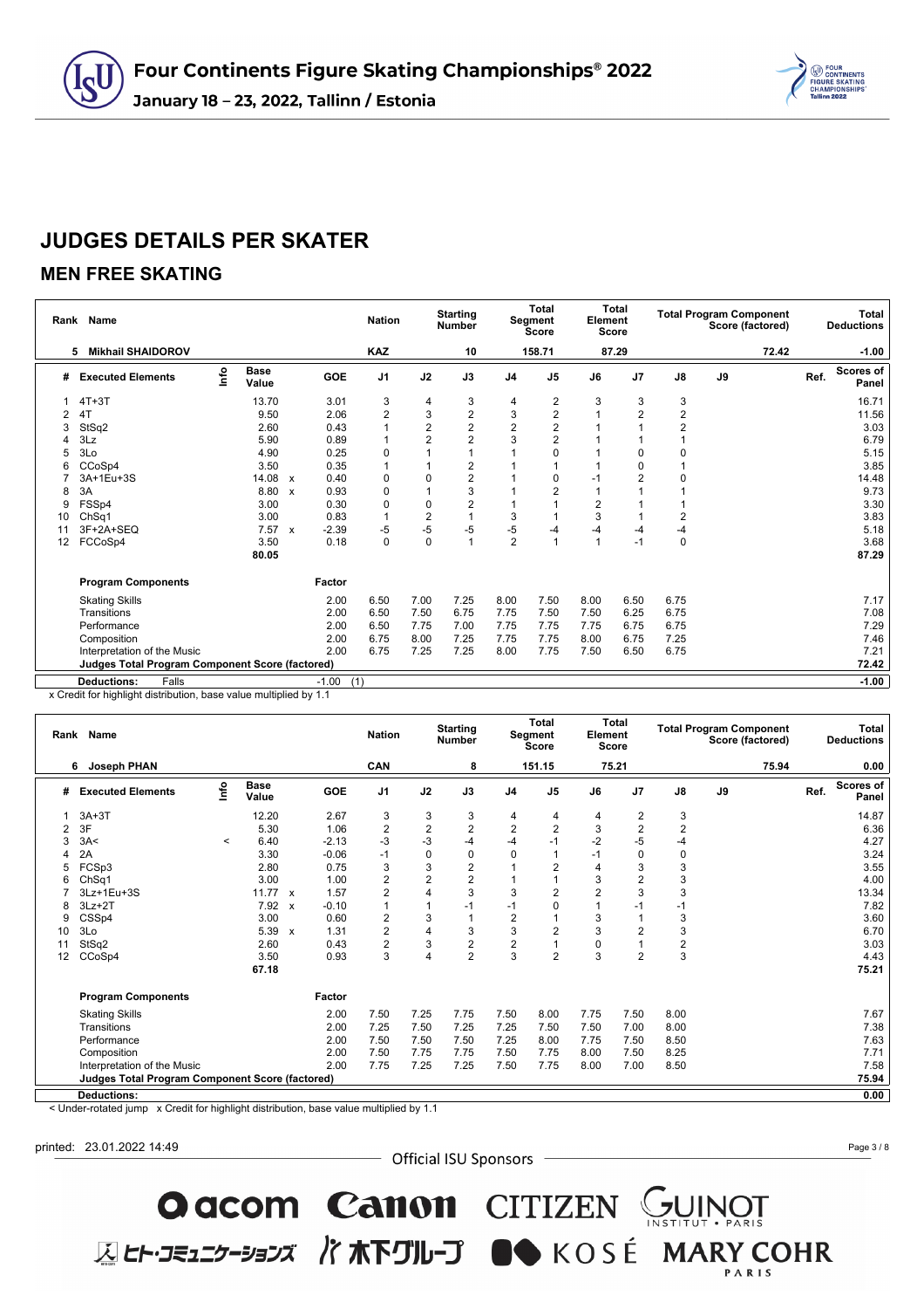

### **MEN FREE SKATING**

|    | Rank Name                                              |      |                      |                           |                | <b>Nation</b>           |                         | <b>Starting</b><br><b>Number</b> |                | <b>Total</b><br>Segment<br><b>Score</b> | Element        | <b>Total</b><br>Score |                         |    | <b>Total Program Component</b><br>Score (factored) |      | Total<br><b>Deductions</b> |
|----|--------------------------------------------------------|------|----------------------|---------------------------|----------------|-------------------------|-------------------------|----------------------------------|----------------|-----------------------------------------|----------------|-----------------------|-------------------------|----|----------------------------------------------------|------|----------------------------|
|    | <b>Mikhail SHAIDOROV</b><br>5                          |      |                      |                           |                | <b>KAZ</b>              |                         | 10                               |                | 158.71                                  |                | 87.29                 |                         |    | 72.42                                              |      | $-1.00$                    |
| #  | <b>Executed Elements</b>                               | lnfo | <b>Base</b><br>Value |                           | GOE            | J <sub>1</sub>          | J2                      | J3                               | J <sub>4</sub> | J <sub>5</sub>                          | J6             | J7                    | J8                      | J9 |                                                    | Ref. | <b>Scores of</b><br>Panel  |
|    | $4T+3T$                                                |      | 13.70                |                           | 3.01           | 3                       | 4                       | 3                                | 4              | 2                                       | 3              | 3                     | 3                       |    |                                                    |      | 16.71                      |
|    | 4T                                                     |      | 9.50                 |                           | 2.06           | $\overline{\mathbf{c}}$ | 3                       | $\overline{\mathbf{c}}$          | 3              | 2                                       |                | $\overline{2}$        | $\overline{\mathbf{c}}$ |    |                                                    |      | 11.56                      |
| 3  | StSq2                                                  |      | 2.60                 |                           | 0.43           |                         | 2                       | $\overline{\mathbf{c}}$          | $\overline{2}$ | 2                                       |                |                       | $\overline{2}$          |    |                                                    |      | 3.03                       |
|    | 3Lz                                                    |      | 5.90                 |                           | 0.89           |                         | $\overline{2}$          | $\overline{2}$                   | 3              | $\overline{2}$                          |                |                       |                         |    |                                                    |      | 6.79                       |
| 5  | 3Lo                                                    |      | 4.90                 |                           | 0.25           | 0                       |                         | 1                                |                | 0                                       |                | 0                     | $\Omega$                |    |                                                    |      | 5.15                       |
| 6  | CCoSp4                                                 |      | 3.50                 |                           | 0.35           |                         |                         | $\overline{c}$                   |                |                                         |                | 0                     |                         |    |                                                    |      | 3.85                       |
|    | 3A+1Eu+3S                                              |      | 14.08                | $\boldsymbol{\mathsf{x}}$ | 0.40           | 0                       | 0                       | $\overline{c}$                   |                | 0                                       |                | 2                     | $\Omega$                |    |                                                    |      | 14.48                      |
| 8  | 3A                                                     |      | 8.80                 | $\mathbf{x}$              | 0.93           | 0                       |                         | 3                                |                | 2                                       |                |                       |                         |    |                                                    |      | 9.73                       |
| 9  | FSSp4                                                  |      | 3.00                 |                           | 0.30           | $\mathbf 0$             | 0                       | $\overline{2}$                   |                |                                         | $\overline{2}$ |                       |                         |    |                                                    |      | 3.30                       |
| 10 | Ch <sub>Sq1</sub>                                      |      | 3.00                 |                           | 0.83           | $\mathbf{1}$            | $\overline{\mathbf{c}}$ | $\overline{1}$                   | 3              |                                         | 3              |                       | $\overline{2}$          |    |                                                    |      | 3.83                       |
| 11 | 3F+2A+SEQ                                              |      | 7.57                 | $\boldsymbol{\mathsf{x}}$ | $-2.39$        | -5                      | $-5$                    | $-5$                             | -5             | $-4$                                    | $-4$           | $-4$                  | $-4$                    |    |                                                    |      | 5.18                       |
| 12 | FCCoSp4                                                |      | 3.50                 |                           | 0.18           | $\mathbf 0$             | 0                       | 1                                | $\overline{2}$ |                                         |                | $-1$                  | $\mathbf 0$             |    |                                                    |      | 3.68                       |
|    |                                                        |      | 80.05                |                           |                |                         |                         |                                  |                |                                         |                |                       |                         |    |                                                    |      | 87.29                      |
|    | <b>Program Components</b>                              |      |                      |                           | Factor         |                         |                         |                                  |                |                                         |                |                       |                         |    |                                                    |      |                            |
|    | <b>Skating Skills</b>                                  |      |                      |                           | 2.00           | 6.50                    | 7.00                    | 7.25                             | 8.00           | 7.50                                    | 8.00           | 6.50                  | 6.75                    |    |                                                    |      | 7.17                       |
|    | Transitions                                            |      |                      |                           | 2.00           | 6.50                    | 7.50                    | 6.75                             | 7.75           | 7.50                                    | 7.50           | 6.25                  | 6.75                    |    |                                                    |      | 7.08                       |
|    | Performance                                            |      |                      |                           | 2.00           | 6.50                    | 7.75                    | 7.00                             | 7.75           | 7.75                                    | 7.75           | 6.75                  | 6.75                    |    |                                                    |      | 7.29                       |
|    | Composition                                            |      |                      |                           | 2.00           | 6.75                    | 8.00                    | 7.25                             | 7.75           | 7.75                                    | 8.00           | 6.75                  | 7.25                    |    |                                                    |      | 7.46                       |
|    | Interpretation of the Music                            |      |                      |                           | 2.00           | 6.75                    | 7.25                    | 7.25                             | 8.00           | 7.75                                    | 7.50           | 6.50                  | 6.75                    |    |                                                    |      | 7.21                       |
|    | <b>Judges Total Program Component Score (factored)</b> |      |                      |                           |                |                         |                         |                                  |                |                                         |                |                       |                         |    |                                                    |      | 72.42                      |
|    | <b>Deductions:</b><br>Falls                            |      |                      |                           | $-1.00$<br>(1) |                         |                         |                                  |                |                                         |                |                       |                         |    |                                                    |      | $-1.00$                    |

x Credit for highlight distribution, base value multiplied by 1.1

|    | Rank Name                                              |         |                      |              |            | <b>Nation</b>           |                         | <b>Starting</b><br><b>Number</b> |                | <b>Total</b><br>Segment<br><b>Score</b> | Element        | Total<br>Score |                | <b>Total Program Component</b><br>Score (factored) |      | Total<br><b>Deductions</b> |
|----|--------------------------------------------------------|---------|----------------------|--------------|------------|-------------------------|-------------------------|----------------------------------|----------------|-----------------------------------------|----------------|----------------|----------------|----------------------------------------------------|------|----------------------------|
|    | <b>Joseph PHAN</b><br>6                                |         |                      |              |            | CAN                     |                         | 8                                |                | 151.15                                  |                | 75.21          |                | 75.94                                              |      | 0.00                       |
| #  | <b>Executed Elements</b>                               | ۴o      | <b>Base</b><br>Value |              | <b>GOE</b> | J <sub>1</sub>          | J2                      | J3                               | J <sub>4</sub> | J <sub>5</sub>                          | J6             | J <sub>7</sub> | $\mathsf{J}8$  | J9                                                 | Ref. | <b>Scores of</b><br>Panel  |
|    | $3A+3T$                                                |         | 12.20                |              | 2.67       | 3                       | 3                       | 3                                | 4              | 4                                       | 4              | 2              | 3              |                                                    |      | 14.87                      |
| 2  | 3F                                                     |         | 5.30                 |              | 1.06       | $\overline{c}$          | $\overline{\mathbf{c}}$ | $\overline{2}$                   | $\overline{2}$ | 2                                       | 3              | 2              | $\overline{2}$ |                                                    |      | 6.36                       |
|    | 3A<                                                    | $\,<\,$ | 6.40                 |              | $-2.13$    | $-3$                    | $-3$                    | $-4$                             | -4             | $-1$                                    | $-2$           | $-5$           | $-4$           |                                                    |      | 4.27                       |
|    | 2A                                                     |         | 3.30                 |              | $-0.06$    | $-1$                    | 0                       | 0                                | $\mathbf{0}$   |                                         | $-1$           | 0              | 0              |                                                    |      | 3.24                       |
| 5  | FCSp3                                                  |         | 2.80                 |              | 0.75       | 3                       | 3                       | $\overline{2}$                   |                | 2                                       | 4              | 3              | 3              |                                                    |      | 3.55                       |
| 6  | ChSq1                                                  |         | 3.00                 |              | 1.00       | $\overline{c}$          | $\overline{2}$          | $\overline{2}$                   |                |                                         | 3              | $\overline{2}$ | 3              |                                                    |      | 4.00                       |
|    | 3Lz+1Eu+3S                                             |         | 11.77                | $\mathbf{x}$ | 1.57       | $\overline{2}$          |                         | 3                                | 3              | $\overline{2}$                          | $\overline{2}$ | 3              | 3              |                                                    |      | 13.34                      |
| 8  | $3Lz + 2T$                                             |         | 7.92                 | $\mathbf{x}$ | $-0.10$    | 1                       |                         | $-1$                             | $-1$           | $\Omega$                                |                | $-1$           | $-1$           |                                                    |      | 7.82                       |
| 9  | CSSp4                                                  |         | 3.00                 |              | 0.60       | $\overline{c}$          | 3                       | 1                                | $\overline{c}$ |                                         | 3              |                | 3              |                                                    |      | 3.60                       |
| 10 | 3Lo                                                    |         | 5.39                 | $\mathsf{x}$ | 1.31       | $\overline{2}$          | 4                       | 3                                | 3              | $\overline{2}$                          | 3              | 2              | 3              |                                                    |      | 6.70                       |
| 11 | StSq2                                                  |         | 2.60                 |              | 0.43       | $\overline{\mathbf{c}}$ | 3                       | $\overline{c}$                   | $\overline{c}$ |                                         | $\mathbf 0$    |                | $\overline{c}$ |                                                    |      | 3.03                       |
| 12 | CCoSp4                                                 |         | 3.50                 |              | 0.93       | 3                       | 4                       | $\overline{2}$                   | 3              | $\overline{2}$                          | 3              | $\overline{2}$ | 3              |                                                    |      | 4.43                       |
|    |                                                        |         | 67.18                |              |            |                         |                         |                                  |                |                                         |                |                |                |                                                    |      | 75.21                      |
|    | <b>Program Components</b>                              |         |                      |              | Factor     |                         |                         |                                  |                |                                         |                |                |                |                                                    |      |                            |
|    | <b>Skating Skills</b>                                  |         |                      |              | 2.00       | 7.50                    | 7.25                    | 7.75                             | 7.50           | 8.00                                    | 7.75           | 7.50           | 8.00           |                                                    |      | 7.67                       |
|    | Transitions                                            |         |                      |              | 2.00       | 7.25                    | 7.50                    | 7.25                             | 7.25           | 7.50                                    | 7.50           | 7.00           | 8.00           |                                                    |      | 7.38                       |
|    | Performance                                            |         |                      |              | 2.00       | 7.50                    | 7.50                    | 7.50                             | 7.25           | 8.00                                    | 7.75           | 7.50           | 8.50           |                                                    |      | 7.63                       |
|    | Composition                                            |         |                      |              | 2.00       | 7.50                    | 7.75                    | 7.75                             | 7.50           | 7.75                                    | 8.00           | 7.50           | 8.25           |                                                    |      | 7.71                       |
|    | Interpretation of the Music                            |         |                      |              | 2.00       | 7.75                    | 7.25                    | 7.25                             | 7.50           | 7.75                                    | 8.00           | 7.00           | 8.50           |                                                    |      | 7.58                       |
|    | <b>Judges Total Program Component Score (factored)</b> |         |                      |              |            |                         |                         |                                  |                |                                         |                |                |                |                                                    |      | 75.94                      |
|    | <b>Deductions:</b>                                     |         |                      |              |            |                         |                         |                                  |                |                                         |                |                |                |                                                    |      | 0.00                       |

< Under-rotated jump x Credit for highlight distribution, base value multiplied by 1.1

printed: 23.01.2022 14:49

- Official ISU Sponsors -

O acom Canon CITIZEN SUINOT

**区ヒト・コミュニケーションズ バホ下グループ ■◆** KOSÉ MARY COHR

Page 3 / 8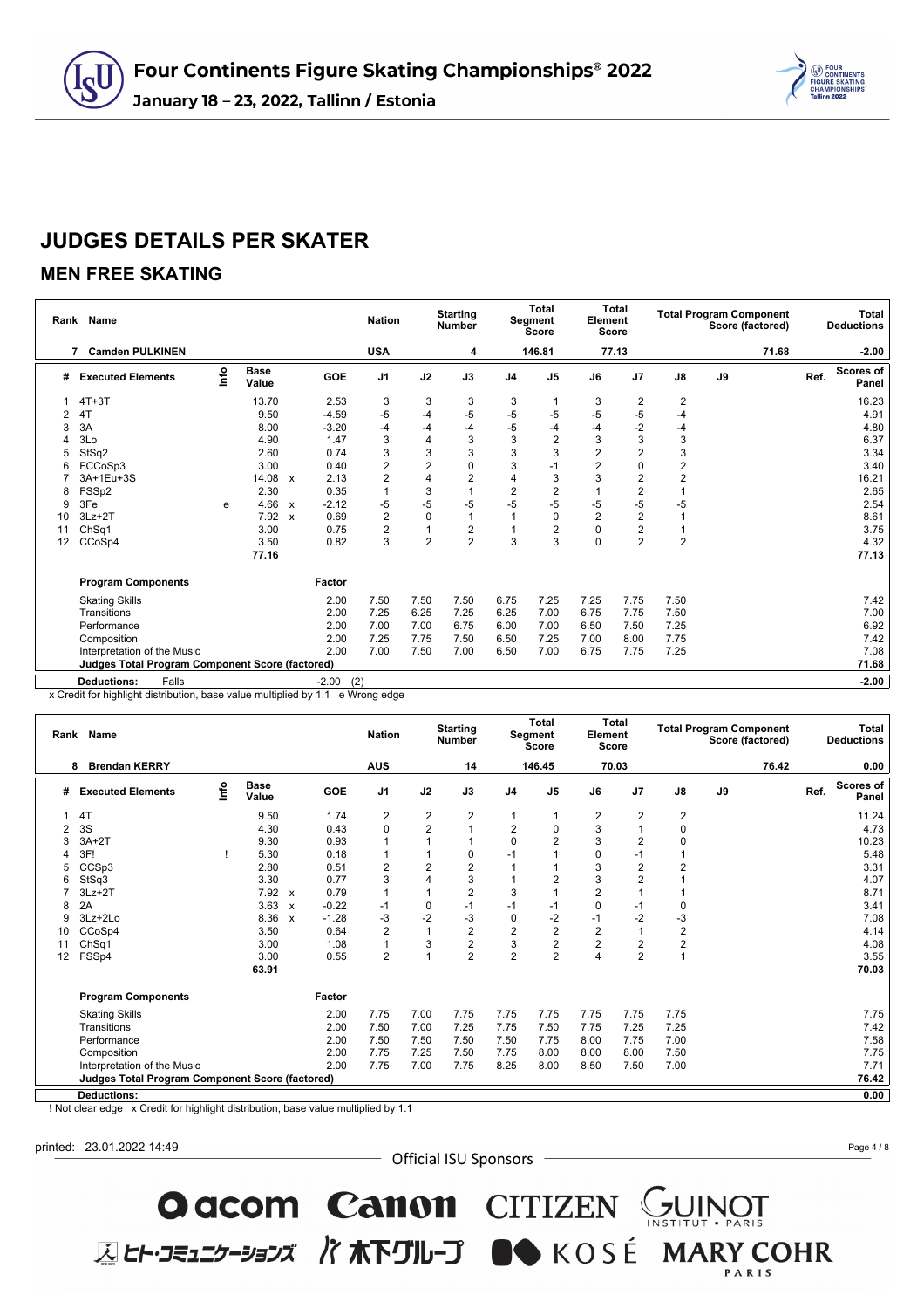

### **MEN FREE SKATING**

|    | Rank Name                                              |      |                      |              |                | <b>Nation</b>  |                | <b>Starting</b><br><b>Number</b> |                | <b>Total</b><br>Segment<br><b>Score</b> | Element<br><b>Score</b> | <b>Total</b>   |                         | <b>Total Program Component</b> | Score (factored) |      | Total<br><b>Deductions</b> |
|----|--------------------------------------------------------|------|----------------------|--------------|----------------|----------------|----------------|----------------------------------|----------------|-----------------------------------------|-------------------------|----------------|-------------------------|--------------------------------|------------------|------|----------------------------|
|    | <b>Camden PULKINEN</b>                                 |      |                      |              |                | <b>USA</b>     |                | 4                                |                | 146.81                                  |                         | 77.13          |                         |                                | 71.68            |      | $-2.00$                    |
| #  | <b>Executed Elements</b>                               | lnfo | <b>Base</b><br>Value |              | GOE            | J <sub>1</sub> | J2             | J3                               | J <sub>4</sub> | J <sub>5</sub>                          | J6                      | J <sub>7</sub> | $\mathsf{J}8$           | J9                             |                  | Ref. | Scores of<br>Panel         |
|    | $4T+3T$                                                |      | 13.70                |              | 2.53           | 3              | 3              | 3                                | 3              |                                         | 3                       | 2              | $\overline{2}$          |                                |                  |      | 16.23                      |
|    | 4T                                                     |      | 9.50                 |              | $-4.59$        | $-5$           | $-4$           | $-5$                             | -5             | $-5$                                    | -5                      | $-5$           | $-4$                    |                                |                  |      | 4.91                       |
| 3  | 3A                                                     |      | 8.00                 |              | $-3.20$        | $-4$           | $-4$           | -4                               | -5             | -4                                      | -4                      | $-2$           | $-4$                    |                                |                  |      | 4.80                       |
|    | 3Lo                                                    |      | 4.90                 |              | 1.47           | 3              | 4              | 3                                | 3              | 2                                       | 3                       | 3              | 3                       |                                |                  |      | 6.37                       |
| 5  | StSq2                                                  |      | 2.60                 |              | 0.74           | 3              | 3              | 3                                | 3              | 3                                       | $\overline{2}$          | 2              | 3                       |                                |                  |      | 3.34                       |
|    | FCCoSp3                                                |      | 3.00                 |              | 0.40           | $\overline{c}$ | 2              | 0                                | 3              | -1                                      | $\overline{2}$          | 0              | $\mathbf 2$             |                                |                  |      | 3.40                       |
|    | 3A+1Eu+3S                                              |      | 14.08                | $\mathsf{x}$ | 2.13           | $\overline{c}$ |                | $\overline{2}$                   | 4              | 3                                       | 3                       | $\overline{2}$ | $\overline{\mathbf{c}}$ |                                |                  |      | 16.21                      |
| 8  | FSSp2                                                  |      | 2.30                 |              | 0.35           | $\mathbf{1}$   | 3              |                                  | $\overline{2}$ | 2                                       |                         | 2              |                         |                                |                  |      | 2.65                       |
| 9  | 3Fe                                                    | e    | 4.66                 | $\mathsf{x}$ | $-2.12$        | -5             | $-5$           | $-5$                             | $-5$           | $-5$                                    | $-5$                    | $-5$           | $-5$                    |                                |                  |      | 2.54                       |
| 10 | $3Lz + 2T$                                             |      | 7.92                 | $\mathbf{x}$ | 0.69           | $\overline{2}$ | 0              |                                  |                | 0                                       | $\overline{2}$          | $\overline{2}$ |                         |                                |                  |      | 8.61                       |
| 11 | Ch <sub>Sq1</sub>                                      |      | 3.00                 |              | 0.75           | $\overline{2}$ |                | $\overline{c}$                   |                | 2                                       | $\Omega$                | 2              |                         |                                |                  |      | 3.75                       |
| 12 | CCoSp4                                                 |      | 3.50                 |              | 0.82           | 3              | $\overline{2}$ | $\overline{2}$                   | 3              | 3                                       | $\Omega$                | $\overline{2}$ | $\overline{2}$          |                                |                  |      | 4.32                       |
|    |                                                        |      | 77.16                |              |                |                |                |                                  |                |                                         |                         |                |                         |                                |                  |      | 77.13                      |
|    | <b>Program Components</b>                              |      |                      |              | Factor         |                |                |                                  |                |                                         |                         |                |                         |                                |                  |      |                            |
|    | <b>Skating Skills</b>                                  |      |                      |              | 2.00           | 7.50           | 7.50           | 7.50                             | 6.75           | 7.25                                    | 7.25                    | 7.75           | 7.50                    |                                |                  |      | 7.42                       |
|    | Transitions                                            |      |                      |              | 2.00           | 7.25           | 6.25           | 7.25                             | 6.25           | 7.00                                    | 6.75                    | 7.75           | 7.50                    |                                |                  |      | 7.00                       |
|    | Performance                                            |      |                      |              | 2.00           | 7.00           | 7.00           | 6.75                             | 6.00           | 7.00                                    | 6.50                    | 7.50           | 7.25                    |                                |                  |      | 6.92                       |
|    | Composition                                            |      |                      |              | 2.00           | 7.25           | 7.75           | 7.50                             | 6.50           | 7.25                                    | 7.00                    | 8.00           | 7.75                    |                                |                  |      | 7.42                       |
|    | Interpretation of the Music                            |      |                      |              | 2.00           | 7.00           | 7.50           | 7.00                             | 6.50           | 7.00                                    | 6.75                    | 7.75           | 7.25                    |                                |                  |      | 7.08                       |
|    | <b>Judges Total Program Component Score (factored)</b> |      |                      |              |                |                |                |                                  |                |                                         |                         |                |                         |                                |                  |      | 71.68                      |
|    | <b>Deductions:</b><br>Falls                            |      |                      |              | $-2.00$<br>(2) |                |                |                                  |                |                                         |                         |                |                         |                                |                  |      | $-2.00$                    |

x Credit for highlight distribution, base value multiplied by 1.1 e Wrong edge

|    | Rank Name                                       |      |                      |              |         | <b>Nation</b>  |                | <b>Starting</b><br><b>Number</b> |                | <b>Total</b><br>Segment<br><b>Score</b> | Element        | <b>Total</b><br><b>Score</b> |                         | <b>Total Program Component</b><br>Score (factored) |      | Total<br><b>Deductions</b> |
|----|-------------------------------------------------|------|----------------------|--------------|---------|----------------|----------------|----------------------------------|----------------|-----------------------------------------|----------------|------------------------------|-------------------------|----------------------------------------------------|------|----------------------------|
|    | <b>Brendan KERRY</b><br>8                       |      |                      |              |         | <b>AUS</b>     |                | 14                               |                | 146.45                                  |                | 70.03                        |                         | 76.42                                              |      | 0.00                       |
| #  | <b>Executed Elements</b>                        | lnfo | <b>Base</b><br>Value |              | GOE     | J <sub>1</sub> | J2             | J3                               | J <sub>4</sub> | J <sub>5</sub>                          | J6             | J7                           | J8                      | J9                                                 | Ref. | Scores of<br>Panel         |
|    | 4T                                              |      | 9.50                 |              | 1.74    | 2              | 2              | 2                                |                |                                         | $\overline{2}$ | 2                            | $\overline{\mathbf{c}}$ |                                                    |      | 11.24                      |
|    | 3S                                              |      | 4.30                 |              | 0.43    | $\mathbf 0$    | $\overline{2}$ | 1                                | 2              | 0                                       | 3              |                              | $\mathbf 0$             |                                                    |      | 4.73                       |
|    | $3A+2T$                                         |      | 9.30                 |              | 0.93    |                |                |                                  | 0              | 2                                       | 3              | $\overline{2}$               | 0                       |                                                    |      | 10.23                      |
|    | 3F!                                             |      | 5.30                 |              | 0.18    |                |                | 0                                | $-1$           |                                         | $\Omega$       | $-1$                         |                         |                                                    |      | 5.48                       |
|    | CCSp3                                           |      | 2.80                 |              | 0.51    | $\overline{2}$ | 2              | $\overline{2}$                   |                |                                         | 3              | $\overline{2}$               | 2                       |                                                    |      | 3.31                       |
|    | StSq3                                           |      | 3.30                 |              | 0.77    | 3              | $\overline{4}$ | 3                                |                | 2                                       | 3              | $\overline{2}$               |                         |                                                    |      | 4.07                       |
|    | $3Lz + 2T$                                      |      | 7.92 x               |              | 0.79    | 1              |                | $\overline{2}$                   | 3              |                                         | $\overline{2}$ |                              |                         |                                                    |      | 8.71                       |
| 8  | 2A                                              |      | 3.63                 | $\mathsf{x}$ | $-0.22$ | $-1$           | 0              | $-1$                             | $-1$           | $-1$                                    | $\Omega$       | $-1$                         | 0                       |                                                    |      | 3.41                       |
| 9  | 3Lz+2Lo                                         |      | 8.36                 | $\mathsf{x}$ | $-1.28$ | $-3$           | $-2$           | $-3$                             | 0              | $-2$                                    | $-1$           | $-2$                         | -3                      |                                                    |      | 7.08                       |
| 10 | CCoSp4                                          |      | 3.50                 |              | 0.64    | $\overline{2}$ | $\overline{1}$ | $\overline{2}$                   | $\overline{c}$ | $\overline{2}$                          | $\overline{2}$ |                              | $\overline{2}$          |                                                    |      | 4.14                       |
| 11 | ChSq1                                           |      | 3.00                 |              | 1.08    | $\overline{1}$ | 3              | $\overline{2}$                   | 3              | 2                                       | $\overline{2}$ | $\overline{2}$               | $\overline{c}$          |                                                    |      | 4.08                       |
| 12 | FSSp4                                           |      | 3.00                 |              | 0.55    | $\overline{2}$ |                | $\overline{2}$                   | $\overline{2}$ | $\overline{2}$                          | $\overline{4}$ | $\overline{2}$               | 1                       |                                                    |      | 3.55                       |
|    |                                                 |      | 63.91                |              |         |                |                |                                  |                |                                         |                |                              |                         |                                                    |      | 70.03                      |
|    | <b>Program Components</b>                       |      |                      |              | Factor  |                |                |                                  |                |                                         |                |                              |                         |                                                    |      |                            |
|    | <b>Skating Skills</b>                           |      |                      |              | 2.00    | 7.75           | 7.00           | 7.75                             | 7.75           | 7.75                                    | 7.75           | 7.75                         | 7.75                    |                                                    |      | 7.75                       |
|    | Transitions                                     |      |                      |              | 2.00    | 7.50           | 7.00           | 7.25                             | 7.75           | 7.50                                    | 7.75           | 7.25                         | 7.25                    |                                                    |      | 7.42                       |
|    | Performance                                     |      |                      |              | 2.00    | 7.50           | 7.50           | 7.50                             | 7.50           | 7.75                                    | 8.00           | 7.75                         | 7.00                    |                                                    |      | 7.58                       |
|    | Composition                                     |      |                      |              | 2.00    | 7.75           | 7.25           | 7.50                             | 7.75           | 8.00                                    | 8.00           | 8.00                         | 7.50                    |                                                    |      | 7.75                       |
|    | Interpretation of the Music                     |      |                      |              | 2.00    | 7.75           | 7.00           | 7.75                             | 8.25           | 8.00                                    | 8.50           | 7.50                         | 7.00                    |                                                    |      | 7.71                       |
|    | Judges Total Program Component Score (factored) |      |                      |              |         |                |                |                                  |                |                                         |                |                              |                         |                                                    |      | 76.42                      |
|    | <b>Deductions:</b>                              |      |                      |              |         |                |                |                                  |                |                                         |                |                              |                         |                                                    |      | 0.00                       |

! Not clear edge x Credit for highlight distribution, base value multiplied by 1.1

printed: 23.01.2022 14:49

- Official ISU Sponsors -

O acom Canon CITIZEN CUINOT

**区ヒト・コミュニケーションズ バホ下グループ ■●** KOSÉ MARY COHR

Page 4 / 8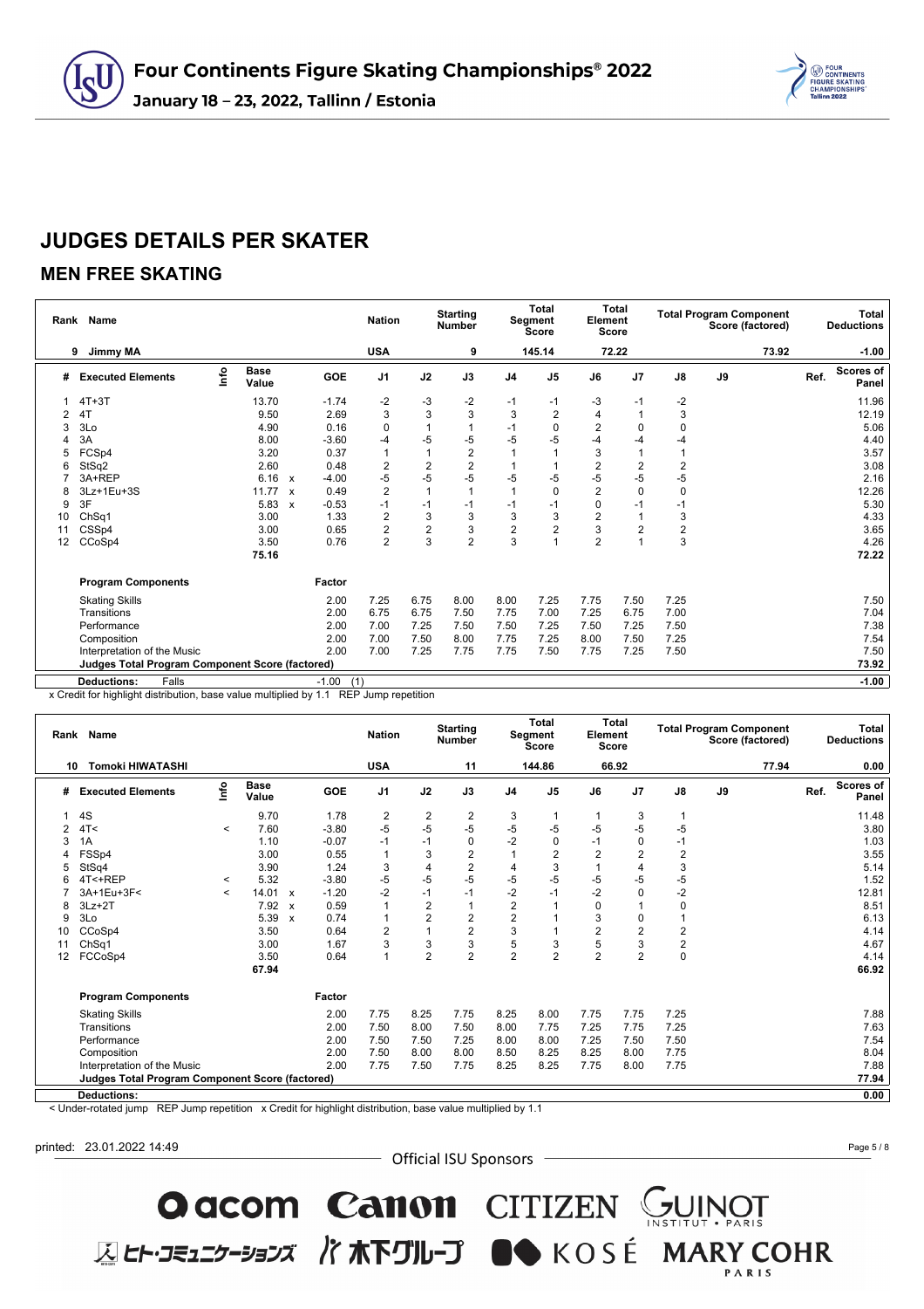

### **MEN FREE SKATING**

|    | Rank Name                                              |      |                      |                           |                | <b>Nation</b>  |                | <b>Starting</b><br>Number |                | <b>Total</b><br>Segment<br><b>Score</b> | Element        | <b>Total</b><br><b>Score</b> |                | <b>Total Program Component</b> | Score (factored) |      | <b>Total</b><br><b>Deductions</b> |
|----|--------------------------------------------------------|------|----------------------|---------------------------|----------------|----------------|----------------|---------------------------|----------------|-----------------------------------------|----------------|------------------------------|----------------|--------------------------------|------------------|------|-----------------------------------|
|    | 9<br>Jimmy MA                                          |      |                      |                           |                | <b>USA</b>     |                | 9                         |                | 145.14                                  |                | 72.22                        |                |                                | 73.92            |      | $-1.00$                           |
| #  | <b>Executed Elements</b>                               | lnfo | <b>Base</b><br>Value |                           | GOE            | J <sub>1</sub> | J2             | J3                        | J <sub>4</sub> | J <sub>5</sub>                          | J6             | J <sub>7</sub>               | J8             | J9                             |                  | Ref. | <b>Scores of</b><br>Panel         |
|    | $4T+3T$                                                |      | 13.70                |                           | $-1.74$        | $-2$           | -3             | $-2$                      | $-1$           | -1                                      | -3             | $-1$                         | $-2$           |                                |                  |      | 11.96                             |
| 2  | 4T                                                     |      | 9.50                 |                           | 2.69           | 3              | 3              | 3                         | 3              | $\overline{2}$                          | 4              |                              | 3              |                                |                  |      | 12.19                             |
| 3  | 3Lo                                                    |      | 4.90                 |                           | 0.16           | $\mathbf 0$    |                | 1                         | $-1$           | 0                                       | $\overline{2}$ | $\Omega$                     | $\mathbf 0$    |                                |                  |      | 5.06                              |
|    | 3A                                                     |      | 8.00                 |                           | $-3.60$        | $-4$           | $-5$           | $-5$                      | -5             | -5                                      | $-4$           | -4                           | $-4$           |                                |                  |      | 4.40                              |
| 5  | FCSp4                                                  |      | 3.20                 |                           | 0.37           |                | 1              | $\overline{c}$            |                |                                         | 3              |                              |                |                                |                  |      | 3.57                              |
| 6  | StSq2                                                  |      | 2.60                 |                           | 0.48           | $\overline{2}$ | $\overline{2}$ | $\overline{2}$            |                |                                         | $\overline{2}$ | $\overline{2}$               | $\overline{2}$ |                                |                  |      | 3.08                              |
|    | 3A+REP                                                 |      | 6.16                 | $\boldsymbol{\mathsf{x}}$ | $-4.00$        | $-5$           | $-5$           | $-5$                      | -5             | -5                                      | -5             | $-5$                         | $-5$           |                                |                  |      | 2.16                              |
| 8  | 3Lz+1Eu+3S                                             |      | 11.77                | $\mathbf{x}$              | 0.49           | $\overline{2}$ |                | 1                         |                | 0                                       | $\overline{2}$ | 0                            | $\mathbf 0$    |                                |                  |      | 12.26                             |
| 9  | 3F                                                     |      | 5.83                 | $\boldsymbol{\mathsf{x}}$ | $-0.53$        | $-1$           | $-1$           | $-1$                      | $-1$           | $-1$                                    | $\Omega$       | $-1$                         | $-1$           |                                |                  |      | 5.30                              |
| 10 | ChSq1                                                  |      | 3.00                 |                           | 1.33           | $\overline{2}$ | 3              | 3                         | 3              | 3                                       | $\overline{2}$ |                              | 3              |                                |                  |      | 4.33                              |
| 11 | CSSp4                                                  |      | 3.00                 |                           | 0.65           | $\overline{2}$ | $\overline{2}$ | 3                         | 2              | $\overline{2}$                          | 3              | $\overline{2}$               | $\mathbf 2$    |                                |                  |      | 3.65                              |
| 12 | CCoSp4                                                 |      | 3.50                 |                           | 0.76           | $\overline{2}$ | 3              | $\overline{2}$            | 3              |                                         | $\overline{2}$ |                              | 3              |                                |                  |      | 4.26                              |
|    |                                                        |      | 75.16                |                           |                |                |                |                           |                |                                         |                |                              |                |                                |                  |      | 72.22                             |
|    | <b>Program Components</b>                              |      |                      |                           | Factor         |                |                |                           |                |                                         |                |                              |                |                                |                  |      |                                   |
|    | <b>Skating Skills</b>                                  |      |                      |                           | 2.00           | 7.25           | 6.75           | 8.00                      | 8.00           | 7.25                                    | 7.75           | 7.50                         | 7.25           |                                |                  |      | 7.50                              |
|    | Transitions                                            |      |                      |                           | 2.00           | 6.75           | 6.75           | 7.50                      | 7.75           | 7.00                                    | 7.25           | 6.75                         | 7.00           |                                |                  |      | 7.04                              |
|    | Performance                                            |      |                      |                           | 2.00           | 7.00           | 7.25           | 7.50                      | 7.50           | 7.25                                    | 7.50           | 7.25                         | 7.50           |                                |                  |      | 7.38                              |
|    | Composition                                            |      |                      |                           | 2.00           | 7.00           | 7.50           | 8.00                      | 7.75           | 7.25                                    | 8.00           | 7.50                         | 7.25           |                                |                  |      | 7.54                              |
|    | Interpretation of the Music                            |      |                      |                           | 2.00           | 7.00           | 7.25           | 7.75                      | 7.75           | 7.50                                    | 7.75           | 7.25                         | 7.50           |                                |                  |      | 7.50                              |
|    | <b>Judges Total Program Component Score (factored)</b> |      |                      |                           |                |                |                |                           |                |                                         |                |                              |                |                                |                  |      | 73.92                             |
|    | Falls<br><b>Deductions:</b>                            |      |                      |                           | $-1.00$<br>(1) |                |                |                           |                |                                         |                |                              |                |                                |                  |      | $-1.00$                           |

x Credit for highlight distribution, base value multiplied by 1.1 REP Jump repetition

|    | Rank Name                                       |         |                      |                           |            | <b>Nation</b>  |                         | <b>Starting</b><br><b>Number</b> |                         | <b>Total</b><br>Segment<br>Score | Element        | <b>Total</b><br><b>Score</b> |                | <b>Total Program Component</b><br>Score (factored) | Total<br><b>Deductions</b>        |
|----|-------------------------------------------------|---------|----------------------|---------------------------|------------|----------------|-------------------------|----------------------------------|-------------------------|----------------------------------|----------------|------------------------------|----------------|----------------------------------------------------|-----------------------------------|
| 10 | <b>Tomoki HIWATASHI</b>                         |         |                      |                           |            | <b>USA</b>     |                         | 11                               |                         | 144.86                           |                | 66.92                        |                | 77.94                                              | 0.00                              |
| #  | <b>Executed Elements</b>                        | lnfo    | <b>Base</b><br>Value |                           | <b>GOE</b> | J <sub>1</sub> | J2                      | J3                               | J <sub>4</sub>          | J <sub>5</sub>                   | J6             | J7                           | J8             | J9                                                 | <b>Scores of</b><br>Ref.<br>Panel |
|    | 4S                                              |         | 9.70                 |                           | 1.78       | $\overline{2}$ | $\overline{\mathbf{c}}$ | $\overline{\mathbf{c}}$          | 3                       |                                  |                | 3                            | $\mathbf{1}$   |                                                    | 11.48                             |
| 2  | 4T<                                             | $\prec$ | 7.60                 |                           | $-3.80$    | $-5$           | $-5$                    | $-5$                             | $-5$                    | $-5$                             | $-5$           | -5                           | -5             |                                                    | 3.80                              |
| 3  | 1A                                              |         | 1.10                 |                           | $-0.07$    | $-1$           | $-1$                    | 0                                | $-2$                    | 0                                | $-1$           | 0                            | $-1$           |                                                    | 1.03                              |
|    | FSSp4                                           |         | 3.00                 |                           | 0.55       | $\overline{1}$ | 3                       | $\overline{c}$                   |                         | $\overline{2}$                   | $\overline{2}$ | 2                            | 2              |                                                    | 3.55                              |
|    | StSq4                                           |         | 3.90                 |                           | 1.24       | 3              | 4                       | $\boldsymbol{2}$                 | 4                       | 3                                |                | 4                            | $\mathsf 3$    |                                                    | 5.14                              |
| 6  | 4T<+REP                                         | $\prec$ | 5.32                 |                           | $-3.80$    | $-5$           | $-5$                    | $-5$                             | -5                      | $-5$                             | $-5$           | -5                           | $-5$           |                                                    | 1.52                              |
|    | 3A+1Eu+3F<                                      | $\prec$ | 14.01                | $\mathbf{x}$              | $-1.20$    | $-2$           | $-1$                    | $-1$                             | $-2$                    | -1                               | $-2$           | 0                            | $-2$           |                                                    | 12.81                             |
| 8  | $3Lz + 2T$                                      |         | 7.92                 | $\boldsymbol{\mathsf{x}}$ | 0.59       | 1              | 2                       | 1                                | $\overline{\mathbf{c}}$ |                                  | $\Omega$       |                              | 0              |                                                    | 8.51                              |
| 9  | 3Lo                                             |         | 5.39                 | $\boldsymbol{\mathsf{x}}$ | 0.74       | $\mathbf{1}$   | $\overline{2}$          | $\overline{c}$                   | $\overline{2}$          |                                  | 3              | 0                            | 1              |                                                    | 6.13                              |
| 10 | CCoSp4                                          |         | 3.50                 |                           | 0.64       | $\overline{2}$ |                         | $\overline{2}$                   | 3                       |                                  | $\overline{2}$ | $\overline{2}$               | $\overline{2}$ |                                                    | 4.14                              |
| 11 | ChSq1                                           |         | 3.00                 |                           | 1.67       | 3              | 3                       | 3                                | 5                       | 3                                | 5              | 3                            | $\overline{2}$ |                                                    | 4.67                              |
| 12 | FCCoSp4                                         |         | 3.50                 |                           | 0.64       | $\overline{1}$ | $\overline{2}$          | $\overline{2}$                   | $\overline{2}$          | $\overline{2}$                   | $\overline{2}$ | $\overline{2}$               | $\mathbf 0$    |                                                    | 4.14                              |
|    |                                                 |         | 67.94                |                           |            |                |                         |                                  |                         |                                  |                |                              |                |                                                    | 66.92                             |
|    | <b>Program Components</b>                       |         |                      |                           | Factor     |                |                         |                                  |                         |                                  |                |                              |                |                                                    |                                   |
|    | <b>Skating Skills</b>                           |         |                      |                           | 2.00       | 7.75           | 8.25                    | 7.75                             | 8.25                    | 8.00                             | 7.75           | 7.75                         | 7.25           |                                                    | 7.88                              |
|    | Transitions                                     |         |                      |                           | 2.00       | 7.50           | 8.00                    | 7.50                             | 8.00                    | 7.75                             | 7.25           | 7.75                         | 7.25           |                                                    | 7.63                              |
|    | Performance                                     |         |                      |                           | 2.00       | 7.50           | 7.50                    | 7.25                             | 8.00                    | 8.00                             | 7.25           | 7.50                         | 7.50           |                                                    | 7.54                              |
|    | Composition                                     |         |                      |                           | 2.00       | 7.50           | 8.00                    | 8.00                             | 8.50                    | 8.25                             | 8.25           | 8.00                         | 7.75           |                                                    | 8.04                              |
|    | Interpretation of the Music                     |         |                      |                           | 2.00       | 7.75           | 7.50                    | 7.75                             | 8.25                    | 8.25                             | 7.75           | 8.00                         | 7.75           |                                                    | 7.88                              |
|    | Judges Total Program Component Score (factored) |         |                      |                           |            |                |                         |                                  |                         |                                  |                |                              |                |                                                    | 77.94                             |
|    | Deductions:                                     |         |                      |                           |            |                |                         |                                  |                         |                                  |                |                              |                |                                                    | 0.00                              |

< Under-rotated jump REP Jump repetition x Credit for highlight distribution, base value multiplied by 1.1

printed: 23.01.2022 14:49

- Official ISU Sponsors -

O acom Canon CITIZEN SUINOT

**区ヒト・コミュニケーションズ バホ下グループ ■◆** KOSÉ MARY COHR

Page 5 / 8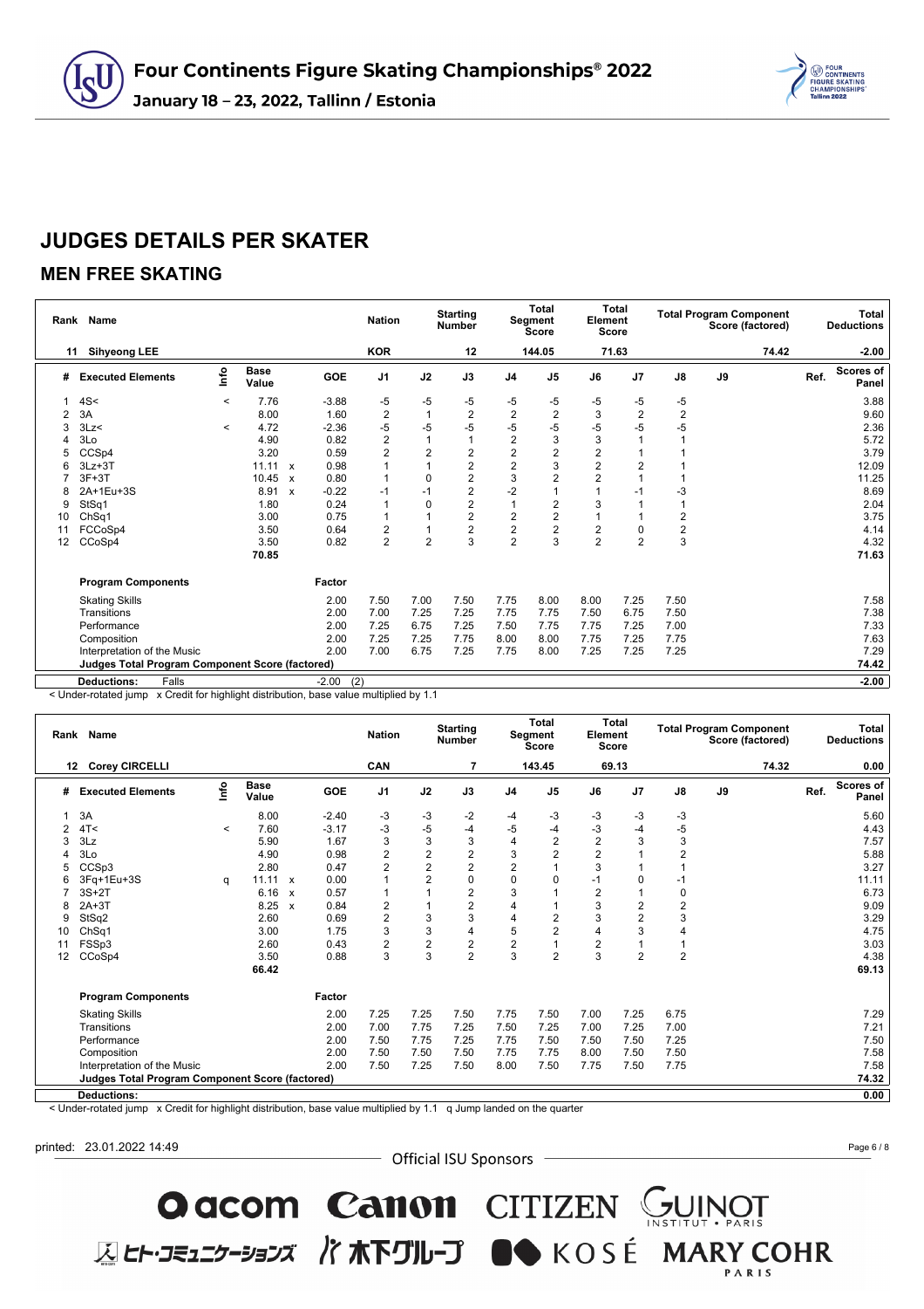

### **MEN FREE SKATING**

|    | Rank Name                                              |         |                      |              |            | <b>Nation</b>  |                | <b>Starting</b><br><b>Number</b> |                         | <b>Total</b><br>Segment<br><b>Score</b> | Element        | <b>Total</b><br><b>Score</b> |                | <b>Total Program Component</b><br>Score (factored) |      | <b>Total</b><br><b>Deductions</b> |
|----|--------------------------------------------------------|---------|----------------------|--------------|------------|----------------|----------------|----------------------------------|-------------------------|-----------------------------------------|----------------|------------------------------|----------------|----------------------------------------------------|------|-----------------------------------|
| 11 | <b>Sihyeong LEE</b>                                    |         |                      |              |            | <b>KOR</b>     |                | 12                               |                         | 144.05                                  |                | 71.63                        |                | 74.42                                              |      | $-2.00$                           |
| #  | <b>Executed Elements</b>                               | lnfo    | <b>Base</b><br>Value |              | <b>GOE</b> | J <sub>1</sub> | J2             | J3                               | J <sub>4</sub>          | J <sub>5</sub>                          | J6             | J7                           | $\mathsf{J}8$  | J9                                                 | Ref. | <b>Scores of</b><br>Panel         |
|    | 4S<                                                    | $\prec$ | 7.76                 |              | $-3.88$    | $-5$           | $-5$           | -5                               | -5                      | -5                                      | -5             | -5                           | -5             |                                                    |      | 3.88                              |
|    | 3A                                                     |         | 8.00                 |              | 1.60       | $\sqrt{2}$     |                | 2                                | $\overline{\mathbf{c}}$ | $\overline{2}$                          | 3              | 2                            | $\overline{2}$ |                                                    |      | 9.60                              |
|    | 3Lz                                                    | $\prec$ | 4.72                 |              | $-2.36$    | $-5$           | $-5$           | $-5$                             | $-5$                    | -5                                      | $-5$           | $-5$                         | -5             |                                                    |      | 2.36                              |
|    | 3Lo                                                    |         | 4.90                 |              | 0.82       | $\overline{2}$ |                |                                  | 2                       | 3                                       | 3              |                              |                |                                                    |      | 5.72                              |
| 5  | CCSp4                                                  |         | 3.20                 |              | 0.59       | $\overline{2}$ | $\overline{2}$ | $\overline{c}$                   | $\overline{\mathbf{c}}$ | 2                                       | 2              |                              |                |                                                    |      | 3.79                              |
|    | $3Lz + 3T$                                             |         | 11.11                | $\mathsf{x}$ | 0.98       |                |                | $\overline{c}$                   | $\overline{\mathbf{c}}$ | 3                                       | $\overline{2}$ | 2                            |                |                                                    |      | 12.09                             |
|    | $3F+3T$                                                |         | 10.45                | $\mathsf{x}$ | 0.80       |                | 0              | $\overline{c}$                   | 3                       | $\overline{2}$                          | $\overline{2}$ | 1                            |                |                                                    |      | 11.25                             |
|    | 2A+1Eu+3S                                              |         | 8.91                 | $\mathsf{x}$ | $-0.22$    | $-1$           | $-1$           | $\overline{2}$                   | $-2$                    |                                         |                | $-1$                         | $-3$           |                                                    |      | 8.69                              |
| 9  | StSq1                                                  |         | 1.80                 |              | 0.24       | $\overline{1}$ | $\Omega$       | $\overline{2}$                   |                         | $\overline{c}$                          | 3              |                              | $\overline{1}$ |                                                    |      | 2.04                              |
| 10 | Ch <sub>Sq1</sub>                                      |         | 3.00                 |              | 0.75       | $\overline{1}$ |                | $\overline{2}$                   | 2                       | $\overline{2}$                          |                |                              | $\overline{2}$ |                                                    |      | 3.75                              |
| 11 | FCCoSp4                                                |         | 3.50                 |              | 0.64       | 2              |                | $\overline{2}$                   | $\overline{2}$          | $\overline{2}$                          | 2              | 0                            | $\frac{2}{3}$  |                                                    |      | 4.14                              |
| 12 | CCoSp4                                                 |         | 3.50                 |              | 0.82       | $\overline{2}$ | $\overline{2}$ | 3                                | $\overline{2}$          | 3                                       | $\overline{2}$ | $\overline{2}$               |                |                                                    |      | 4.32                              |
|    |                                                        |         | 70.85                |              |            |                |                |                                  |                         |                                         |                |                              |                |                                                    |      | 71.63                             |
|    | <b>Program Components</b>                              |         |                      |              | Factor     |                |                |                                  |                         |                                         |                |                              |                |                                                    |      |                                   |
|    | <b>Skating Skills</b>                                  |         |                      |              | 2.00       | 7.50           | 7.00           | 7.50                             | 7.75                    | 8.00                                    | 8.00           | 7.25                         | 7.50           |                                                    |      | 7.58                              |
|    | Transitions                                            |         |                      |              | 2.00       | 7.00           | 7.25           | 7.25                             | 7.75                    | 7.75                                    | 7.50           | 6.75                         | 7.50           |                                                    |      | 7.38                              |
|    | Performance                                            |         |                      |              | 2.00       | 7.25           | 6.75           | 7.25                             | 7.50                    | 7.75                                    | 7.75           | 7.25                         | 7.00           |                                                    |      | 7.33                              |
|    | Composition                                            |         |                      |              | 2.00       | 7.25           | 7.25           | 7.75                             | 8.00                    | 8.00                                    | 7.75           | 7.25                         | 7.75           |                                                    |      | 7.63                              |
|    | Interpretation of the Music                            |         |                      |              | 2.00       | 7.00           | 6.75           | 7.25                             | 7.75                    | 8.00                                    | 7.25           | 7.25                         | 7.25           |                                                    |      | 7.29                              |
|    | <b>Judges Total Program Component Score (factored)</b> |         |                      |              |            |                |                |                                  |                         |                                         |                |                              |                |                                                    |      | 74.42                             |
|    | <b>Deductions:</b><br>Falls                            |         |                      |              | $-2.00$    | (2)            |                |                                  |                         |                                         |                |                              |                |                                                    |      | $-2.00$                           |

 $\leq$  Under-rotated jump  $\geq$  Credit for highlight distribution, base value multiplied by 1.1

|                | Rank Name                                       |         |                      |              |         | <b>Nation</b>  |                         | <b>Starting</b><br><b>Number</b> |                | <b>Total</b><br>Segment<br><b>Score</b> | Element        | <b>Total</b><br><b>Score</b> |                         | <b>Total Program Component</b><br>Score (factored) |      | <b>Total</b><br><b>Deductions</b> |
|----------------|-------------------------------------------------|---------|----------------------|--------------|---------|----------------|-------------------------|----------------------------------|----------------|-----------------------------------------|----------------|------------------------------|-------------------------|----------------------------------------------------|------|-----------------------------------|
|                | <b>Corey CIRCELLI</b><br>12                     |         |                      |              |         | CAN            |                         | 7                                |                | 143.45                                  |                | 69.13                        |                         | 74.32                                              |      | 0.00                              |
| #              | <b>Executed Elements</b>                        | lnfo    | <b>Base</b><br>Value |              | GOE     | J <sub>1</sub> | J2                      | J3                               | J <sub>4</sub> | J <sub>5</sub>                          | J6             | J7                           | J8                      | J9                                                 | Ref. | Scores of<br>Panel                |
|                | 3A                                              |         | 8.00                 |              | $-2.40$ | -3             | $-3$                    | $-2$                             | -4             | -3                                      | -3             | -3                           | -3                      |                                                    |      | 5.60                              |
| $\overline{2}$ | 4T<                                             | $\,<\,$ | 7.60                 |              | $-3.17$ | -3             | $-5$                    | $-4$                             | -5             | $-4$                                    | $-3$           | $-4$                         | $-5$                    |                                                    |      | 4.43                              |
|                | 3Lz                                             |         | 5.90                 |              | 1.67    | 3              | 3                       | 3                                | 4              | $\overline{2}$                          | $\overline{2}$ | 3                            | 3                       |                                                    |      | 7.57                              |
|                | 3Lo                                             |         | 4.90                 |              | 0.98    | $\overline{2}$ | $\overline{\mathbf{c}}$ | $\overline{2}$                   | 3              | $\overline{2}$                          | $\overline{2}$ |                              | $\overline{2}$          |                                                    |      | 5.88                              |
|                | CCSp3                                           |         | 2.80                 |              | 0.47    | $\overline{2}$ | $\overline{2}$          | $\overline{2}$                   | $\overline{2}$ |                                         | 3              |                              |                         |                                                    |      | 3.27                              |
| 6              | 3Fq+1Eu+3S                                      | q       | $11.11 \times$       |              | 0.00    | 1              | $\overline{2}$          | $\mathbf 0$                      | $\Omega$       | $\Omega$                                | $-1$           | 0                            | $-1$                    |                                                    |      | 11.11                             |
|                | $3S+2T$                                         |         | 6.16                 | $\mathsf{x}$ | 0.57    |                |                         | $\overline{2}$                   | 3              |                                         | $\overline{2}$ |                              | 0                       |                                                    |      | 6.73                              |
| 8              | $2A+3T$                                         |         | 8.25                 | $\mathsf{x}$ | 0.84    | 2              |                         | $\overline{c}$                   | 4              |                                         | 3              | 2                            | $\overline{\mathbf{c}}$ |                                                    |      | 9.09                              |
| 9              | StSq2                                           |         | 2.60                 |              | 0.69    | $\overline{c}$ | 3                       | 3                                | 4              | 2                                       | 3              | $\overline{c}$               | 3                       |                                                    |      | 3.29                              |
| 10             | ChSq1                                           |         | 3.00                 |              | 1.75    | 3              | 3                       | $\overline{4}$                   | 5              | $\overline{2}$                          | $\overline{4}$ | 3                            | 4                       |                                                    |      | 4.75                              |
| 11             | FSSp3                                           |         | 2.60                 |              | 0.43    | $\overline{2}$ | $\overline{2}$          | $\overline{2}$                   | 2              |                                         | $\overline{2}$ |                              | 1                       |                                                    |      | 3.03                              |
| 12             | CCoSp4                                          |         | 3.50                 |              | 0.88    | 3              | 3                       | $\overline{2}$                   | 3              | $\overline{2}$                          | 3              | $\overline{2}$               | $\overline{2}$          |                                                    |      | 4.38                              |
|                |                                                 |         | 66.42                |              |         |                |                         |                                  |                |                                         |                |                              |                         |                                                    |      | 69.13                             |
|                | <b>Program Components</b>                       |         |                      |              | Factor  |                |                         |                                  |                |                                         |                |                              |                         |                                                    |      |                                   |
|                | <b>Skating Skills</b>                           |         |                      |              | 2.00    | 7.25           | 7.25                    | 7.50                             | 7.75           | 7.50                                    | 7.00           | 7.25                         | 6.75                    |                                                    |      | 7.29                              |
|                | Transitions                                     |         |                      |              | 2.00    | 7.00           | 7.75                    | 7.25                             | 7.50           | 7.25                                    | 7.00           | 7.25                         | 7.00                    |                                                    |      | 7.21                              |
|                | Performance                                     |         |                      |              | 2.00    | 7.50           | 7.75                    | 7.25                             | 7.75           | 7.50                                    | 7.50           | 7.50                         | 7.25                    |                                                    |      | 7.50                              |
|                | Composition                                     |         |                      |              | 2.00    | 7.50           | 7.50                    | 7.50                             | 7.75           | 7.75                                    | 8.00           | 7.50                         | 7.50                    |                                                    |      | 7.58                              |
|                | Interpretation of the Music                     |         |                      |              | 2.00    | 7.50           | 7.25                    | 7.50                             | 8.00           | 7.50                                    | 7.75           | 7.50                         | 7.75                    |                                                    |      | 7.58                              |
|                | Judges Total Program Component Score (factored) |         |                      |              |         |                |                         |                                  |                |                                         |                |                              |                         |                                                    |      | 74.32                             |
|                | <b>Deductions:</b>                              |         |                      |              |         |                |                         |                                  |                |                                         |                |                              |                         |                                                    |      | 0.00                              |

< Under-rotated jump x Credit for highlight distribution, base value multiplied by 1.1 q Jump landed on the quarter

printed: 23.01.2022 14:49

- Official ISU Sponsors -

O acom Canon CITIZEN SUINOT

**区ヒト・コミュニケーションズ バホ下グループ ■●** KOSÉ MARY COHR

Page 6 / 8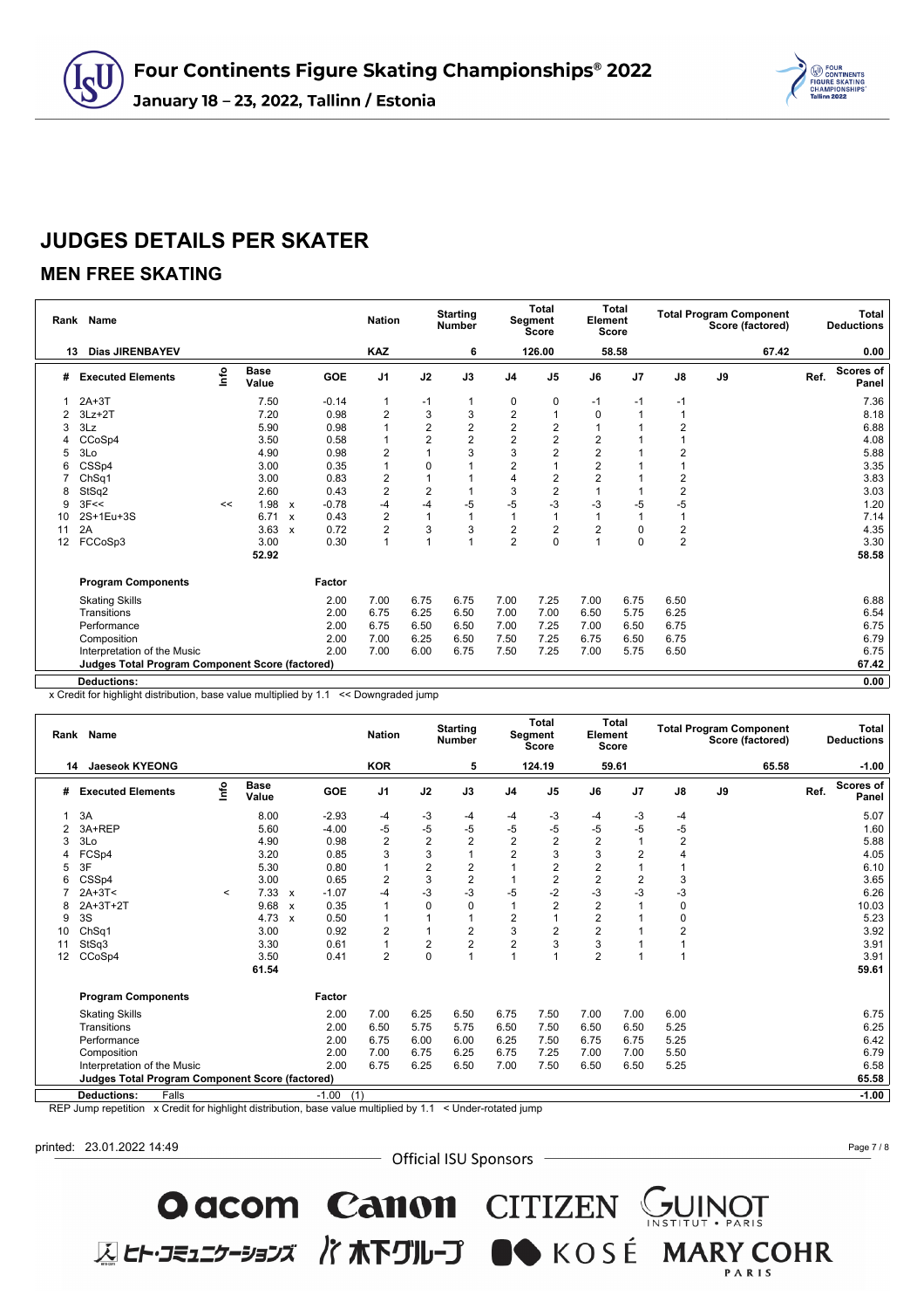

#### **MEN FREE SKATING**

|    | Rank Name                                              |      |                      |              | <b>Nation</b> | <b>Starting</b><br><b>Number</b> |                | Total<br>Segment<br>Score |                | Element        | <b>Total</b><br><b>Score</b> | <b>Total Program Component</b><br>Score (factored) |                  |    |       | Total<br><b>Deductions</b> |                           |
|----|--------------------------------------------------------|------|----------------------|--------------|---------------|----------------------------------|----------------|---------------------------|----------------|----------------|------------------------------|----------------------------------------------------|------------------|----|-------|----------------------------|---------------------------|
| 13 | <b>Dias JIRENBAYEV</b>                                 |      |                      |              |               | <b>KAZ</b>                       |                | 6                         |                | 126.00         |                              | 58.58                                              |                  |    | 67.42 |                            | 0.00                      |
| #  | <b>Executed Elements</b>                               | info | <b>Base</b><br>Value |              | <b>GOE</b>    | J <sub>1</sub>                   | J2             | J3                        | J <sub>4</sub> | J <sub>5</sub> | J6                           | J <sub>7</sub>                                     | $\mathsf{J}8$    | J9 |       | Ref.                       | <b>Scores of</b><br>Panel |
|    | $2A+3T$                                                |      | 7.50                 |              | $-0.14$       | $\mathbf 1$                      | $-1$           | 1                         | 0              | 0              | $-1$                         | $-1$                                               | $-1$             |    |       |                            | 7.36                      |
|    | $3Lz + 2T$                                             |      | 7.20                 |              | 0.98          | $\overline{2}$                   | 3              | 3                         | 2              |                | 0                            | 1                                                  |                  |    |       |                            | 8.18                      |
| 3  | 3Lz                                                    |      | 5.90                 |              | 0.98          |                                  | $\overline{2}$ | $\overline{2}$            | $\overline{2}$ | 2              |                              |                                                    | $\overline{2}$   |    |       |                            | 6.88                      |
|    | CCoSp4                                                 |      | 3.50                 |              | 0.58          |                                  | 2              | $\overline{2}$            | $\overline{c}$ | $\overline{2}$ | 2                            |                                                    |                  |    |       |                            | 4.08                      |
| 5  | 3Lo                                                    |      | 4.90                 |              | 0.98          | 2                                |                | 3                         | 3              | $\overline{c}$ | $\overline{2}$               |                                                    | 2                |    |       |                            | 5.88                      |
|    | CSSp4                                                  |      | 3.00                 |              | 0.35          | 1                                | 0              |                           | $\overline{2}$ |                | $\overline{2}$               |                                                    |                  |    |       |                            | 3.35                      |
|    | ChSq1                                                  |      | 3.00                 |              | 0.83          | $\overline{\mathbf{c}}$          |                |                           | 4              | $\overline{2}$ | $\overline{2}$               |                                                    | $\overline{2}$   |    |       |                            | 3.83                      |
| 8  | StSq2                                                  |      | 2.60                 |              | 0.43          | $\overline{2}$                   | $\overline{2}$ |                           | 3              | $\overline{2}$ |                              |                                                    | $\boldsymbol{2}$ |    |       |                            | 3.03                      |
| g  | 3F<<                                                   | <<   | 1.98                 | $\mathbf{x}$ | $-0.78$       | $-4$                             | $-4$           | $-5$                      | $-5$           | -3             | $-3$                         | $-5$                                               | $-5$             |    |       |                            | 1.20                      |
| 10 | 2S+1Eu+3S                                              |      | 6.71                 | $\mathbf{x}$ | 0.43          | $\overline{2}$                   |                |                           |                |                |                              |                                                    | $\overline{1}$   |    |       |                            | 7.14                      |
| 11 | 2A                                                     |      | 3.63                 | $\mathbf{x}$ | 0.72          | 2                                | 3              | 3                         | 2              | $\overline{2}$ | 2                            | 0                                                  | 2                |    |       |                            | 4.35                      |
| 12 | FCCoSp3                                                |      | 3.00                 |              | 0.30          | $\overline{1}$                   |                |                           | $\overline{2}$ | $\Omega$       |                              | $\Omega$                                           | $\overline{2}$   |    |       |                            | 3.30                      |
|    |                                                        |      | 52.92                |              |               |                                  |                |                           |                |                |                              |                                                    |                  |    |       |                            | 58.58                     |
|    | <b>Program Components</b>                              |      |                      |              | Factor        |                                  |                |                           |                |                |                              |                                                    |                  |    |       |                            |                           |
|    | <b>Skating Skills</b>                                  |      |                      |              | 2.00          | 7.00                             | 6.75           | 6.75                      | 7.00           | 7.25           | 7.00                         | 6.75                                               | 6.50             |    |       |                            | 6.88                      |
|    | Transitions                                            |      |                      |              | 2.00          | 6.75                             | 6.25           | 6.50                      | 7.00           | 7.00           | 6.50                         | 5.75                                               | 6.25             |    |       |                            | 6.54                      |
|    | Performance                                            |      |                      |              | 2.00          | 6.75                             | 6.50           | 6.50                      | 7.00           | 7.25           | 7.00                         | 6.50                                               | 6.75             |    |       |                            | 6.75                      |
|    | Composition                                            |      |                      |              | 2.00          | 7.00                             | 6.25           | 6.50                      | 7.50           | 7.25           | 6.75                         | 6.50                                               | 6.75             |    |       |                            | 6.79                      |
|    | Interpretation of the Music                            |      |                      |              | 2.00          | 7.00                             | 6.00           | 6.75                      | 7.50           | 7.25           | 7.00                         | 5.75                                               | 6.50             |    |       |                            | 6.75                      |
|    | <b>Judges Total Program Component Score (factored)</b> |      |                      |              |               |                                  |                |                           |                |                |                              |                                                    |                  |    |       |                            | 67.42                     |
|    | <b>Deductions:</b>                                     |      |                      |              |               |                                  |                |                           |                |                |                              |                                                    |                  |    |       |                            | 0.00                      |

x Credit for highlight distribution, base value multiplied by 1.1 << Downgraded jump

|    | Rank Name                                              |            |                      |              |                | <b>Nation</b>  |                         | <b>Starting</b><br><b>Number</b> |                | Total<br>Segment<br>Score | Element        | Total<br><b>Score</b> |                         | <b>Total Program Component</b><br>Score (factored) |      | Total<br><b>Deductions</b> |
|----|--------------------------------------------------------|------------|----------------------|--------------|----------------|----------------|-------------------------|----------------------------------|----------------|---------------------------|----------------|-----------------------|-------------------------|----------------------------------------------------|------|----------------------------|
| 14 | <b>Jaeseok KYEONG</b>                                  |            |                      |              |                | <b>KOR</b>     |                         | 5                                |                | 124.19                    |                | 59.61                 |                         | 65.58                                              |      | $-1.00$                    |
| #  | <b>Executed Elements</b>                               | Info       | <b>Base</b><br>Value |              | GOE            | J <sub>1</sub> | J2                      | J3                               | J <sub>4</sub> | J <sub>5</sub>            | J6             | J <sub>7</sub>        | $\mathsf{J}8$           | J9                                                 | Ref. | <b>Scores of</b><br>Panel  |
|    | 3A                                                     |            | 8.00                 |              | $-2.93$        | $-4$           | -3                      | -4                               | -4             | $-3$                      | -4             | -3                    | -4                      |                                                    |      | 5.07                       |
|    | 3A+REP                                                 |            | 5.60                 |              | $-4.00$        | $-5$           | $-5$                    | $-5$                             | $-5$           | $-5$                      | $-5$           | $-5$                  | $-5$                    |                                                    |      | 1.60                       |
| 3  | 3Lo                                                    |            | 4.90                 |              | 0.98           | $\overline{2}$ | $\overline{\mathbf{c}}$ | $\overline{2}$                   | $\overline{2}$ | $\overline{c}$            | $\overline{2}$ |                       | $\overline{\mathbf{c}}$ |                                                    |      | 5.88                       |
|    | FCSp4                                                  |            | 3.20                 |              | 0.85           | 3              | 3                       | $\overline{1}$                   | 2              | 3                         | 3              | 2                     | 4                       |                                                    |      | 4.05                       |
| 5  | 3F                                                     |            | 5.30                 |              | 0.80           | $\overline{1}$ | $\overline{\mathbf{c}}$ | $\frac{2}{2}$                    |                | $\overline{\mathbf{c}}$   | $\overline{2}$ |                       |                         |                                                    |      | 6.10                       |
|    | CSSp4                                                  |            | 3.00                 |              | 0.65           | $\overline{2}$ | 3                       |                                  |                | $\overline{2}$            | $\overline{2}$ | $\overline{2}$        | 3                       |                                                    |      | 3.65                       |
|    | $2A+3T<$                                               | $\tilde{}$ | 7.33                 | $\mathsf{x}$ | $-1.07$        | $-4$           | $-3$                    | $-3$                             | -5             | $-2$                      | $-3$           | $-3$                  | $-3$                    |                                                    |      | 6.26                       |
|    | 2A+3T+2T                                               |            | 9.68                 | $\mathsf{x}$ | 0.35           | $\overline{1}$ | $\mathbf 0$             | 0                                |                | $\overline{2}$            | $\overline{2}$ |                       | $\mathbf 0$             |                                                    |      | 10.03                      |
| 9  | 3S                                                     |            | 4.73                 | $\mathsf{x}$ | 0.50           | 1              |                         | $\overline{1}$                   | 2              |                           | $\overline{2}$ |                       | 0                       |                                                    |      | 5.23                       |
| 10 | ChSq1                                                  |            | 3.00                 |              | 0.92           | 2              |                         | $\overline{c}$                   | 3              | 2                         | $\overline{2}$ |                       | $\overline{2}$          |                                                    |      | 3.92                       |
| 11 | StSq3                                                  |            | 3.30                 |              | 0.61           | $\overline{1}$ | 2                       | $\overline{2}$                   | 2              | 3                         | 3              |                       |                         |                                                    |      | 3.91                       |
| 12 | CCoSp4                                                 |            | 3.50                 |              | 0.41           | $\overline{2}$ | $\mathbf 0$             |                                  |                |                           | $\overline{2}$ |                       | 1                       |                                                    |      | 3.91                       |
|    |                                                        |            | 61.54                |              |                |                |                         |                                  |                |                           |                |                       |                         |                                                    |      | 59.61                      |
|    | <b>Program Components</b>                              |            |                      |              | Factor         |                |                         |                                  |                |                           |                |                       |                         |                                                    |      |                            |
|    | <b>Skating Skills</b>                                  |            |                      |              | 2.00           | 7.00           | 6.25                    | 6.50                             | 6.75           | 7.50                      | 7.00           | 7.00                  | 6.00                    |                                                    |      | 6.75                       |
|    | Transitions                                            |            |                      |              | 2.00           | 6.50           | 5.75                    | 5.75                             | 6.50           | 7.50                      | 6.50           | 6.50                  | 5.25                    |                                                    |      | 6.25                       |
|    | Performance                                            |            |                      |              | 2.00           | 6.75           | 6.00                    | 6.00                             | 6.25           | 7.50                      | 6.75           | 6.75                  | 5.25                    |                                                    |      | 6.42                       |
|    | Composition                                            |            |                      |              | 2.00           | 7.00           | 6.75                    | 6.25                             | 6.75           | 7.25                      | 7.00           | 7.00                  | 5.50                    |                                                    |      | 6.79                       |
|    | Interpretation of the Music                            |            |                      |              | 2.00           | 6.75           | 6.25                    | 6.50                             | 7.00           | 7.50                      | 6.50           | 6.50                  | 5.25                    |                                                    |      | 6.58                       |
|    | <b>Judges Total Program Component Score (factored)</b> |            |                      |              |                |                |                         |                                  |                |                           |                |                       |                         |                                                    |      | 65.58                      |
|    | <b>Deductions:</b><br>Falls                            |            |                      |              | (1)<br>$-1.00$ |                |                         |                                  |                |                           |                |                       |                         |                                                    |      | $-1.00$                    |
|    |                                                        |            |                      |              |                |                |                         |                                  |                |                           |                |                       |                         |                                                    |      |                            |

REP Jump repetition x Credit for highlight distribution, base value multiplied by 1.1 < Under-rotated jump

printed: 23.01.2022 14:49

- Official ISU Sponsors -

Occom Canon CITIZEN GUINOT

**区ヒト・コミュニケーションズ バホ下グループ ■●** KOSÉ MARY COHR

Page 7 / 8